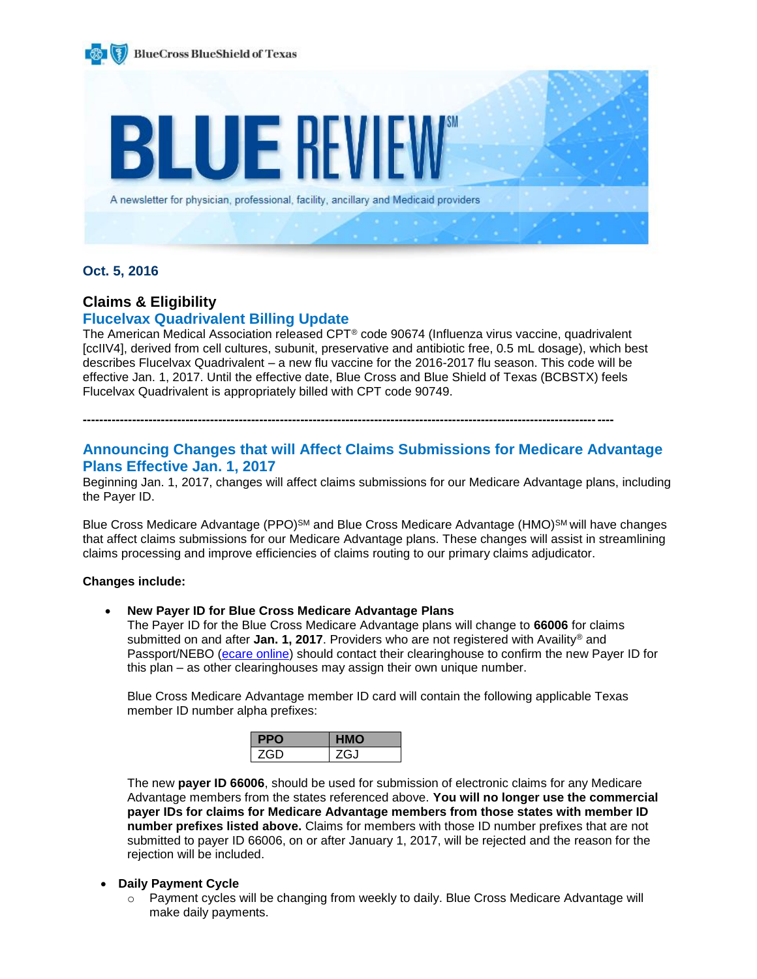

### **Oct. 5, 2016**

### **Claims & Eligibility**

### **Flucelvax Quadrivalent Billing Update**

The American Medical Association released CPT® code 90674 (Influenza virus vaccine, quadrivalent [ccIIV4], derived from cell cultures, subunit, preservative and antibiotic free, 0.5 mL dosage), which best describes Flucelvax Quadrivalent – a new flu vaccine for the 2016-2017 flu season. This code will be effective Jan. 1, 2017. Until the effective date, Blue Cross and Blue Shield of Texas (BCBSTX) feels Flucelvax Quadrivalent is appropriately billed with CPT code 90749.

**---------------------------------------------------------------------------------------------------------------------------------**

### **Announcing Changes that will Affect Claims Submissions for Medicare Advantage Plans Effective Jan. 1, 2017**

Beginning Jan. 1, 2017, changes will affect claims submissions for our Medicare Advantage plans, including the Payer ID.

Blue Cross Medicare Advantage (PPO)<sup>SM</sup> and Blue Cross Medicare Advantage (HMO)<sup>SM</sup> will have changes that affect claims submissions for our Medicare Advantage plans. These changes will assist in streamlining claims processing and improve efficiencies of claims routing to our primary claims adjudicator.

### **Changes include:**

**New Payer ID for Blue Cross Medicare Advantage Plans** 

The Payer ID for the Blue Cross Medicare Advantage plans will change to **66006** for claims submitted on and after **Jan. 1, 2017**. Providers who are not registered with Availity® and Passport/NEBO [\(ecare online\)](http://www.bcbstx.com/provider/claims/ndas.html) should contact their clearinghouse to confirm the new Payer ID for this plan – as other clearinghouses may assign their own unique number.

Blue Cross Medicare Advantage member ID card will contain the following applicable Texas member ID number alpha prefixes:

| ZG-11 | G.I |
|-------|-----|

The new **payer ID 66006**, should be used for submission of electronic claims for any Medicare Advantage members from the states referenced above. **You will no longer use the commercial payer IDs for claims for Medicare Advantage members from those states with member ID number prefixes listed above.** Claims for members with those ID number prefixes that are not submitted to payer ID 66006, on or after January 1, 2017, will be rejected and the reason for the rejection will be included.

### **Daily Payment Cycle**

o Payment cycles will be changing from weekly to daily. Blue Cross Medicare Advantage will make daily payments.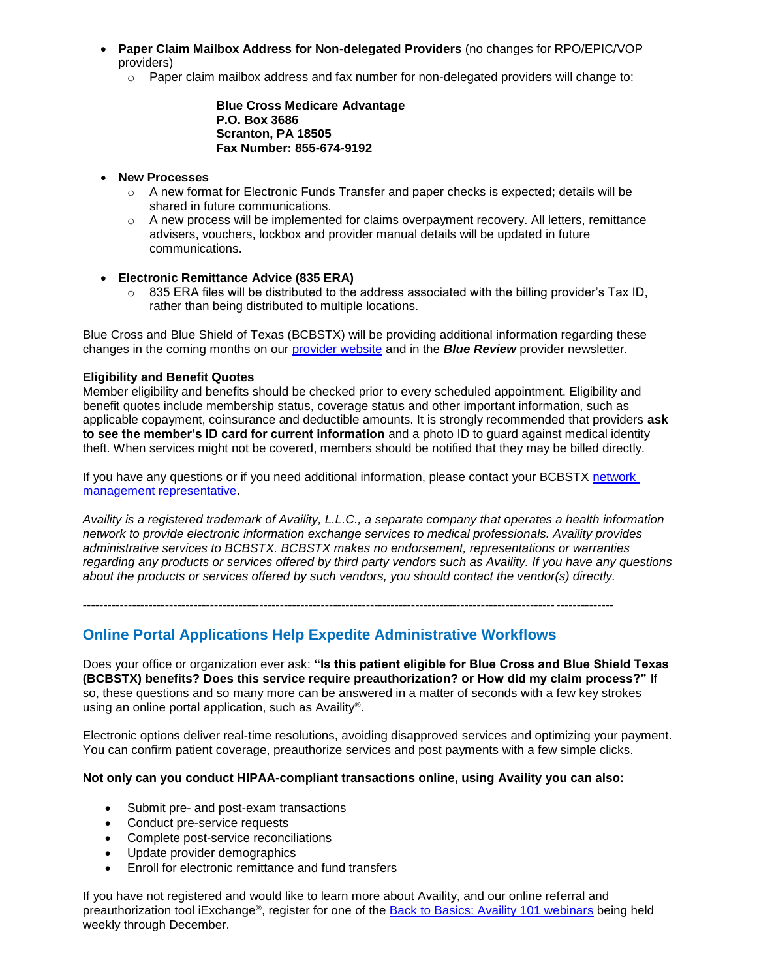- **Paper Claim Mailbox Address for Non-delegated Providers** (no changes for RPO/EPIC/VOP providers)
	- $\circ$  Paper claim mailbox address and fax number for non-delegated providers will change to:

**Blue Cross Medicare Advantage P.O. Box 3686 Scranton, PA 18505 Fax Number: 855-674-9192**

### **New Processes**

- $\circ$  A new format for Electronic Funds Transfer and paper checks is expected; details will be shared in future communications.
- $\circ$  A new process will be implemented for claims overpayment recovery. All letters, remittance advisers, vouchers, lockbox and provider manual details will be updated in future communications.

### **Electronic Remittance Advice (835 ERA)**

 $\circ$  835 ERA files will be distributed to the address associated with the billing provider's Tax ID, rather than being distributed to multiple locations.

Blue Cross and Blue Shield of Texas (BCBSTX) will be providing additional information regarding these changes in the coming months on our [provider website](http://www.bcbstx.com/provider) and in the *Blue Review* provider newsletter.

### **Eligibility and Benefit Quotes**

Member eligibility and benefits should be checked prior to every scheduled appointment. Eligibility and benefit quotes include membership status, coverage status and other important information, such as applicable copayment, coinsurance and deductible amounts. It is strongly recommended that providers **ask to see the member's ID card for current information** and a photo ID to guard against medical identity theft. When services might not be covered, members should be notified that they may be billed directly.

If you have any questions or if you need additional information, please contact your BCBSTX network [management representative.](http://www.bcbstx.com/provider/contact_us.html)

*Availity is a registered trademark of Availity, L.L.C., a separate company that operates a health information network to provide electronic information exchange services to medical professionals. Availity provides administrative services to BCBSTX. BCBSTX makes no endorsement, representations or warranties regarding any products or services offered by third party vendors such as Availity. If you have any questions about the products or services offered by such vendors, you should contact the vendor(s) directly.*

**---------------------------------------------------------------------------------------------------------------------------------**

### **Online Portal Applications Help Expedite Administrative Workflows**

Does your office or organization ever ask: **"Is this patient eligible for Blue Cross and Blue Shield Texas (BCBSTX) benefits? Does this service require preauthorization? or How did my claim process?"** If so, these questions and so many more can be answered in a matter of seconds with a few key strokes using an online portal application, such as Availity®.

Electronic options deliver real-time resolutions, avoiding disapproved services and optimizing your payment. You can confirm patient coverage, preauthorize services and post payments with a few simple clicks.

### **Not only can you conduct HIPAA-compliant transactions online, using Availity you can also:**

- Submit pre- and post-exam transactions
- Conduct pre-service requests
- Complete post-service reconciliations
- Update provider demographics
- Enroll for electronic remittance and fund transfers

If you have not registered and would like to learn more about Availity, and our online referral and preauthorization tool iExchange®, register for one of the [Back to Basics: Availity 101 webinars](https://www.bcbstx.com/provider/training/provider_education.html) being held weekly through December.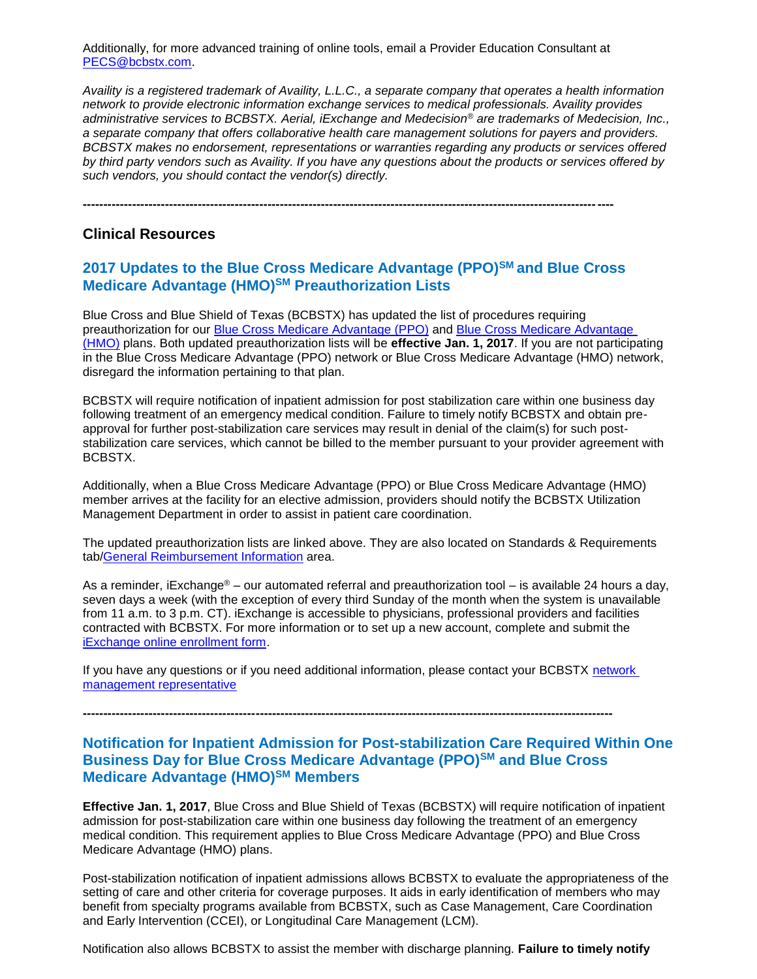Additionally, for more advanced training of online tools, email a Provider Education Consultant at [PECS@bcbstx.com.](mailto:PECS@bcbstx.com)

*Availity is a registered trademark of Availity, L.L.C., a separate company that operates a health information network to provide electronic information exchange services to medical professionals. Availity provides administrative services to BCBSTX. Aerial, iExchange and Medecision® are trademarks of Medecision, Inc., a separate company that offers collaborative health care management solutions for payers and providers. BCBSTX makes no endorsement, representations or warranties regarding any products or services offered by third party vendors such as Availity. If you have any questions about the products or services offered by such vendors, you should contact the vendor(s) directly.*

**---------------------------------------------------------------------------------------------------------------------------------**

### **Clinical Resources**

### **2017 Updates to the Blue Cross Medicare Advantage (PPO)SM and Blue Cross Medicare Advantage (HMO)SM Preauthorization Lists**

Blue Cross and Blue Shield of Texas (BCBSTX) has updated the list of procedures requiring preauthorization for our [Blue Cross Medicare Advantage \(PPO\)](http://www.bcbstx.com/provider/pdf/bma_preauth.pdf) and [Blue Cross Medicare Advantage](http://www.bcbstx.com/provider/pdf/bcma-preauth.pdf)  [\(HMO\)](http://www.bcbstx.com/provider/pdf/bcma-preauth.pdf) plans. Both updated preauthorization lists will be **effective Jan. 1, 2017**. If you are not participating in the Blue Cross Medicare Advantage (PPO) network or Blue Cross Medicare Advantage (HMO) network, disregard the information pertaining to that plan.

BCBSTX will require notification of inpatient admission for post stabilization care within one business day following treatment of an emergency medical condition. Failure to timely notify BCBSTX and obtain preapproval for further post-stabilization care services may result in denial of the claim(s) for such poststabilization care services, which cannot be billed to the member pursuant to your provider agreement with BCBSTX.

Additionally, when a Blue Cross Medicare Advantage (PPO) or Blue Cross Medicare Advantage (HMO) member arrives at the facility for an elective admission, providers should notify the BCBSTX Utilization Management Department in order to assist in patient care coordination.

The updated preauthorization lists are linked above. They are also located on Standards & Requirements tab[/General Reimbursement Information](http://www.bcbstx.com/provider/gri/index.html) area.

As a reminder, iExchange<sup>®</sup> – our automated referral and preauthorization tool – is available 24 hours a day, seven days a week (with the exception of every third Sunday of the month when the system is unavailable from 11 a.m. to 3 p.m. CT). iExchange is accessible to physicians, professional providers and facilities contracted with BCBSTX. For more information or to set up a new account, complete and submit the [iExchange online enrollment form](https://www.bcbstx.com/provider/tools/iexchange_index.html).

If you have any questions or if you need additional information, please contact your BCBSTX network [management representative](http://www.bcbstx.com/provider/contact_us.html)

**---------------------------------------------------------------------------------------------------------------------------------**

### **Notification for Inpatient Admission for Post-stabilization Care Required Within One Business Day for Blue Cross Medicare Advantage (PPO)SM and Blue Cross Medicare Advantage (HMO)SM Members**

**Effective Jan. 1, 2017**, Blue Cross and Blue Shield of Texas (BCBSTX) will require notification of inpatient admission for post-stabilization care within one business day following the treatment of an emergency medical condition. This requirement applies to Blue Cross Medicare Advantage (PPO) and Blue Cross Medicare Advantage (HMO) plans.

Post-stabilization notification of inpatient admissions allows BCBSTX to evaluate the appropriateness of the setting of care and other criteria for coverage purposes. It aids in early identification of members who may benefit from specialty programs available from BCBSTX, such as Case Management, Care Coordination and Early Intervention (CCEI), or Longitudinal Care Management (LCM).

Notification also allows BCBSTX to assist the member with discharge planning. **Failure to timely notify**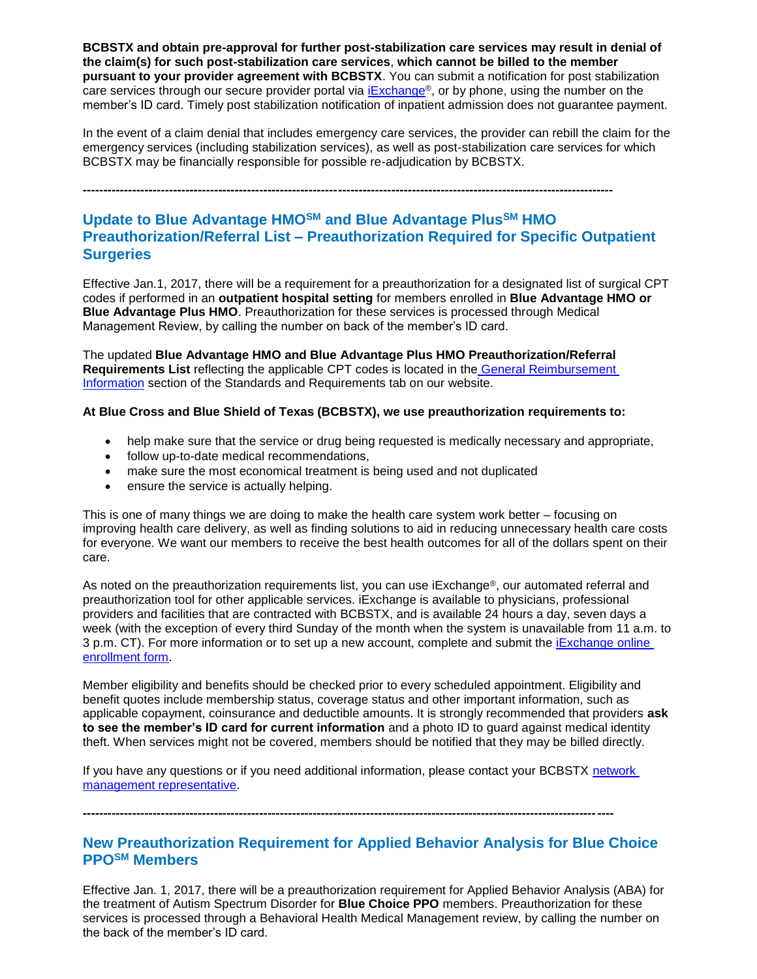**BCBSTX and obtain pre-approval for further post-stabilization care services may result in denial of the claim(s) for such post-stabilization care services**, **which cannot be billed to the member pursuant to your provider agreement with BCBSTX**. You can submit a notification for post stabilization care services through our secure provider portal via [iExchange](https://www.bcbstx.com/provider/tools/iexchange_index.html)®, or by phone, using the number on the member's ID card. Timely post stabilization notification of inpatient admission does not guarantee payment.

In the event of a claim denial that includes emergency care services, the provider can rebill the claim for the emergency services (including stabilization services), as well as post-stabilization care services for which BCBSTX may be financially responsible for possible re-adjudication by BCBSTX.

**---------------------------------------------------------------------------------------------------------------------------------**

### **Update to Blue Advantage HMOSM and Blue Advantage PlusSM HMO Preauthorization/Referral List – Preauthorization Required for Specific Outpatient Surgeries**

Effective Jan.1, 2017, there will be a requirement for a preauthorization for a designated list of surgical CPT codes if performed in an **outpatient hospital setting** for members enrolled in **Blue Advantage HMO or Blue Advantage Plus HMO**. Preauthorization for these services is processed through Medical Management Review, by calling the number on back of the member's ID card.

The updated **Blue Advantage HMO and Blue Advantage Plus HMO Preauthorization/Referral Requirements List** reflecting the applicable CPT codes is located in the [General Reimbursement](http://www.bcbstx.com/provider/gri)  [Information](http://www.bcbstx.com/provider/gri) section of the Standards and Requirements tab on our website.

### **At Blue Cross and Blue Shield of Texas (BCBSTX), we use preauthorization requirements to:**

- help make sure that the service or drug being requested is medically necessary and appropriate,
- follow up-to-date medical recommendations,
- make sure the most economical treatment is being used and not duplicated
- ensure the service is actually helping.

This is one of many things we are doing to make the health care system work better – focusing on improving health care delivery, as well as finding solutions to aid in reducing unnecessary health care costs for everyone. We want our members to receive the best health outcomes for all of the dollars spent on their care.

As noted on the preauthorization requirements list, you can use iExchange®, our automated referral and preauthorization tool for other applicable services. iExchange is available to physicians, professional providers and facilities that are contracted with BCBSTX, and is available 24 hours a day, seven days a week (with the exception of every third Sunday of the month when the system is unavailable from 11 a.m. to [3 p.m. CT\). For more information or to set up a new account, complete and submit the iExchange online](https://www.bcbstx.com/provider/tools/iexchange_index.html) enrollment form.

Member eligibility and benefits should be checked prior to every scheduled appointment. Eligibility and benefit quotes include membership status, coverage status and other important information, such as applicable copayment, coinsurance and deductible amounts. It is strongly recommended that providers **ask to see the member's ID card for current information** and a photo ID to guard against medical identity theft. When services might not be covered, members should be notified that they may be billed directly.

If you have any questions or if you need additional information, please contact your BCBSTX [network](http://www.bcbstx.com/provider/contact_us.html)  [management representative.](http://www.bcbstx.com/provider/contact_us.html)

**---------------------------------------------------------------------------------------------------------------------------------**

### **New Preauthorization Requirement for Applied Behavior Analysis for Blue Choice PPOSM Members**

Effective Jan. 1, 2017, there will be a preauthorization requirement for Applied Behavior Analysis (ABA) for the treatment of Autism Spectrum Disorder for **Blue Choice PPO** members. Preauthorization for these services is processed through a Behavioral Health Medical Management review, by calling the number on the back of the member's ID card.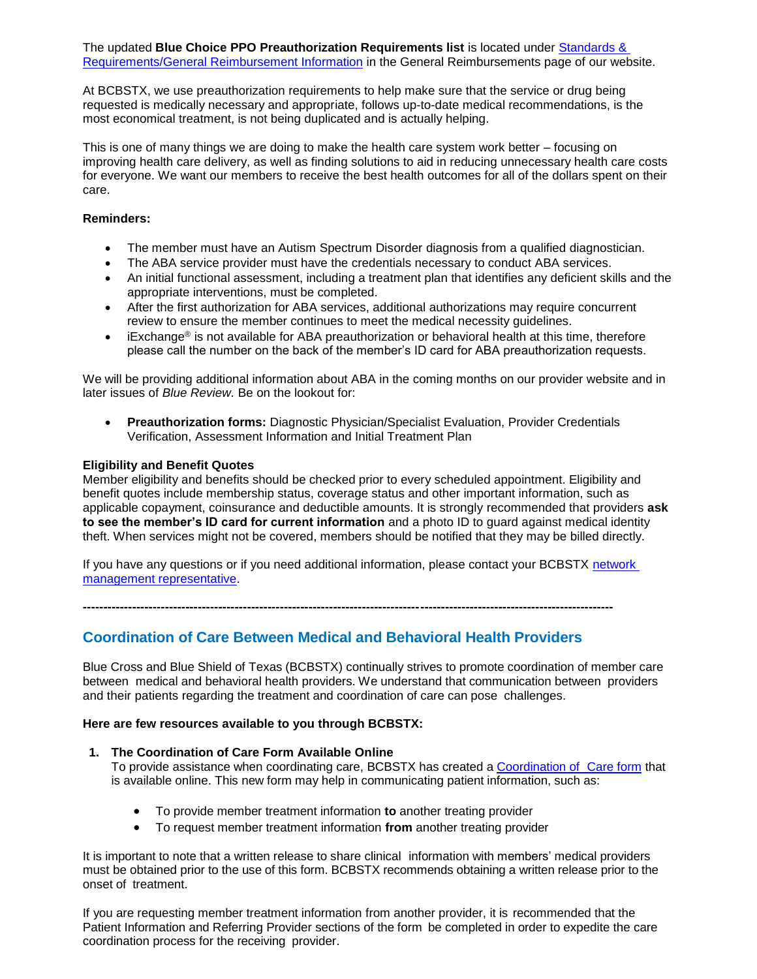The updated **Blue Choice PPO Preauthorization Requirements list** is located under [Standards &](http://www.bcbstx.com/provider/gri/)  [Requirements/General Reimbursement Information](http://www.bcbstx.com/provider/gri/) in the General Reimbursements page of our website.

At BCBSTX, we use preauthorization requirements to help make sure that the service or drug being requested is medically necessary and appropriate, follows up-to-date medical recommendations, is the most economical treatment, is not being duplicated and is actually helping.

This is one of many things we are doing to make the health care system work better – focusing on improving health care delivery, as well as finding solutions to aid in reducing unnecessary health care costs for everyone. We want our members to receive the best health outcomes for all of the dollars spent on their care.

### **Reminders:**

- The member must have an Autism Spectrum Disorder diagnosis from a qualified diagnostician.
- The ABA service provider must have the credentials necessary to conduct ABA services.
- An initial functional assessment, including a treatment plan that identifies any deficient skills and the appropriate interventions, must be completed.
- After the first authorization for ABA services, additional authorizations may require concurrent review to ensure the member continues to meet the medical necessity guidelines.
- iExchange<sup>®</sup> is not available for ABA preauthorization or behavioral health at this time, therefore please call the number on the back of the member's ID card for ABA preauthorization requests.

We will be providing additional information about ABA in the coming months on our provider website and in later issues of *Blue Review.* Be on the lookout for:

 **Preauthorization forms:** Diagnostic Physician/Specialist Evaluation, Provider Credentials Verification, Assessment Information and Initial Treatment Plan

### **Eligibility and Benefit Quotes**

Member eligibility and benefits should be checked prior to every scheduled appointment. Eligibility and benefit quotes include membership status, coverage status and other important information, such as applicable copayment, coinsurance and deductible amounts. It is strongly recommended that providers **ask to see the member's ID card for current information** and a photo ID to guard against medical identity theft. When services might not be covered, members should be notified that they may be billed directly.

If you have any questions or if you need additional information, please contact your BCBSTX network [management representative.](http://www.bcbstx.com/provider/contact_us.html)

**---------------------------------------------------------------------------------------------------------------------------------**

### **Coordination of Care Between Medical and Behavioral Health Providers**

Blue Cross and Blue Shield of Texas (BCBSTX) continually strives to promote coordination of member care between medical and behavioral health providers. We understand that communication between providers and their patients regarding the treatment and coordination of care can pose challenges.

### **Here are few resources available to you through BCBSTX:**

### **1. The Coordination of Care Form Available Online**

To provide assistance when coordinating care, BCBSTX has created a [Coordination](http://www.bcbstx.com/provider/pdf/bh_coordination_care.pdf) of Care form that is available online. This new form may help in communicating patient information, such as:

- To provide member treatment information **to** another treating provider
- To request member treatment information **from** another treating provider

It is important to note that a written release to share clinical information with members' medical providers must be obtained prior to the use of this form. BCBSTX recommends obtaining a written release prior to the onset of treatment.

If you are requesting member treatment information from another provider, it is recommended that the Patient Information and Referring Provider sections of the form be completed in order to expedite the care coordination process for the receiving provider.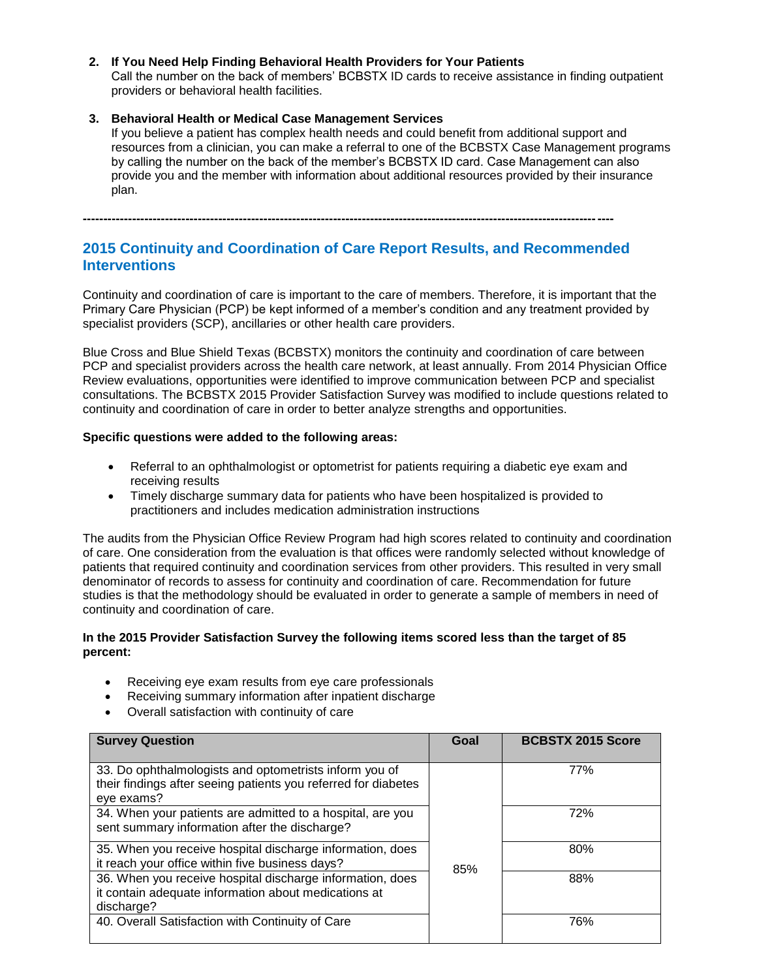### **2. If You Need Help Finding Behavioral Health Providers for Your Patients**

Call the number on the back of members' BCBSTX ID cards to receive assistance in finding outpatient providers or behavioral health facilities.

#### **3. Behavioral Health or Medical Case Management Services**

If you believe a patient has complex health needs and could benefit from additional support and resources from a clinician, you can make a referral to one of the BCBSTX Case Management programs by calling the number on the back of the member's BCBSTX ID card. Case Management can also provide you and the member with information about additional resources provided by their insurance plan.

**---------------------------------------------------------------------------------------------------------------------------------**

### **2015 Continuity and Coordination of Care Report Results, and Recommended Interventions**

Continuity and coordination of care is important to the care of members. Therefore, it is important that the Primary Care Physician (PCP) be kept informed of a member's condition and any treatment provided by specialist providers (SCP), ancillaries or other health care providers.

Blue Cross and Blue Shield Texas (BCBSTX) monitors the continuity and coordination of care between PCP and specialist providers across the health care network, at least annually. From 2014 Physician Office Review evaluations, opportunities were identified to improve communication between PCP and specialist consultations. The BCBSTX 2015 Provider Satisfaction Survey was modified to include questions related to continuity and coordination of care in order to better analyze strengths and opportunities.

### **Specific questions were added to the following areas:**

- Referral to an ophthalmologist or optometrist for patients requiring a diabetic eye exam and receiving results
- Timely discharge summary data for patients who have been hospitalized is provided to practitioners and includes medication administration instructions

The audits from the Physician Office Review Program had high scores related to continuity and coordination of care. One consideration from the evaluation is that offices were randomly selected without knowledge of patients that required continuity and coordination services from other providers. This resulted in very small denominator of records to assess for continuity and coordination of care. Recommendation for future studies is that the methodology should be evaluated in order to generate a sample of members in need of continuity and coordination of care.

### **In the 2015 Provider Satisfaction Survey the following items scored less than the target of 85 percent:**

- Receiving eye exam results from eye care professionals
- Receiving summary information after inpatient discharge
- Overall satisfaction with continuity of care

| <b>Survey Question</b>                                                                                                                 | Goal | <b>BCBSTX 2015 Score</b> |
|----------------------------------------------------------------------------------------------------------------------------------------|------|--------------------------|
| 33. Do ophthalmologists and optometrists inform you of<br>their findings after seeing patients you referred for diabetes<br>eye exams? |      | <b>77%</b>               |
| 34. When your patients are admitted to a hospital, are you<br>sent summary information after the discharge?                            |      | 72%                      |
| 35. When you receive hospital discharge information, does<br>it reach your office within five business days?                           | 85%  | 80%                      |
| 36. When you receive hospital discharge information, does<br>it contain adequate information about medications at<br>discharge?        |      | 88%                      |
| 40. Overall Satisfaction with Continuity of Care                                                                                       |      | 76%                      |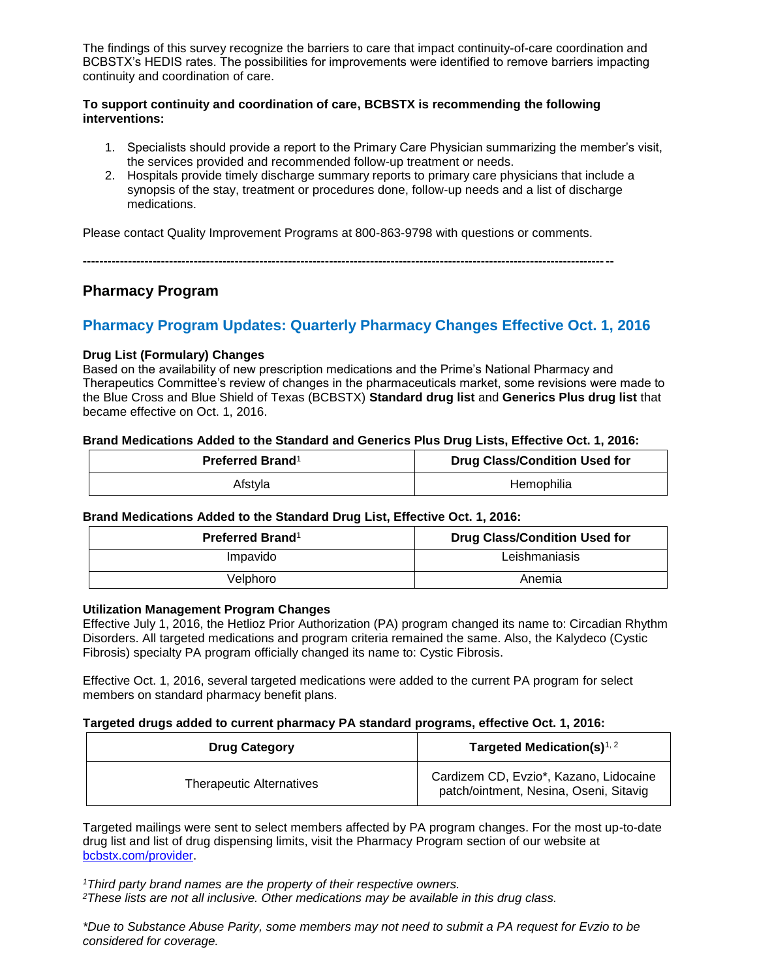The findings of this survey recognize the barriers to care that impact continuity-of-care coordination and BCBSTX's HEDIS rates. The possibilities for improvements were identified to remove barriers impacting continuity and coordination of care.

### **To support continuity and coordination of care, BCBSTX is recommending the following interventions:**

- 1. Specialists should provide a report to the Primary Care Physician summarizing the member's visit, the services provided and recommended follow-up treatment or needs.
- 2. Hospitals provide timely discharge summary reports to primary care physicians that include a synopsis of the stay, treatment or procedures done, follow-up needs and a list of discharge medications.

Please contact Quality Improvement Programs at 800-863-9798 with questions or comments.

**---------------------------------------------------------------------------------------------------------------------------------**

### **Pharmacy Program**

### **Pharmacy Program Updates: Quarterly Pharmacy Changes Effective Oct. 1, 2016**

### **Drug List (Formulary) Changes**

Based on the availability of new prescription medications and the Prime's National Pharmacy and Therapeutics Committee's review of changes in the pharmaceuticals market, some revisions were made to the Blue Cross and Blue Shield of Texas (BCBSTX) **Standard drug list** and **Generics Plus drug list** that became effective on Oct. 1, 2016.

### **Brand Medications Added to the Standard and Generics Plus Drug Lists, Effective Oct. 1, 2016:**

| Preferred Brand <sup>1</sup> | <b>Drug Class/Condition Used for</b> |
|------------------------------|--------------------------------------|
| Afstyla                      | Hemophilia                           |

### **Brand Medications Added to the Standard Drug List, Effective Oct. 1, 2016:**

| <b>Preferred Brand</b> <sup>1</sup> | <b>Drug Class/Condition Used for</b> |
|-------------------------------------|--------------------------------------|
| Impavido                            | Leishmaniasis                        |
| Velphoro                            | Anemia                               |

### **Utilization Management Program Changes**

Effective July 1, 2016, the Hetlioz Prior Authorization (PA) program changed its name to: Circadian Rhythm Disorders. All targeted medications and program criteria remained the same. Also, the Kalydeco (Cystic Fibrosis) specialty PA program officially changed its name to: Cystic Fibrosis.

Effective Oct. 1, 2016, several targeted medications were added to the current PA program for select members on standard pharmacy benefit plans.

### **Targeted drugs added to current pharmacy PA standard programs, effective Oct. 1, 2016:**

| <b>Drug Category</b>            | Targeted Medication(s) <sup>1, 2</sup>                                           |
|---------------------------------|----------------------------------------------------------------------------------|
| <b>Therapeutic Alternatives</b> | Cardizem CD, Evzio*, Kazano, Lidocaine<br>patch/ointment, Nesina, Oseni, Sitavig |

Targeted mailings were sent to select members affected by PA program changes. For the most up-to-date drug list and list of drug dispensing limits, visit the Pharmacy Program section of our website at [bcbstx.com/provider.](http://www.bcbstx.com/provider/pharmacy/quantity_time.html)

*<sup>1</sup>Third party brand names are the property of their respective owners.*

*<sup>2</sup>These lists are not all inclusive. Other medications may be available in this drug class.*

*\*Due to Substance Abuse Parity, some members may not need to submit a PA request for Evzio to be considered for coverage.*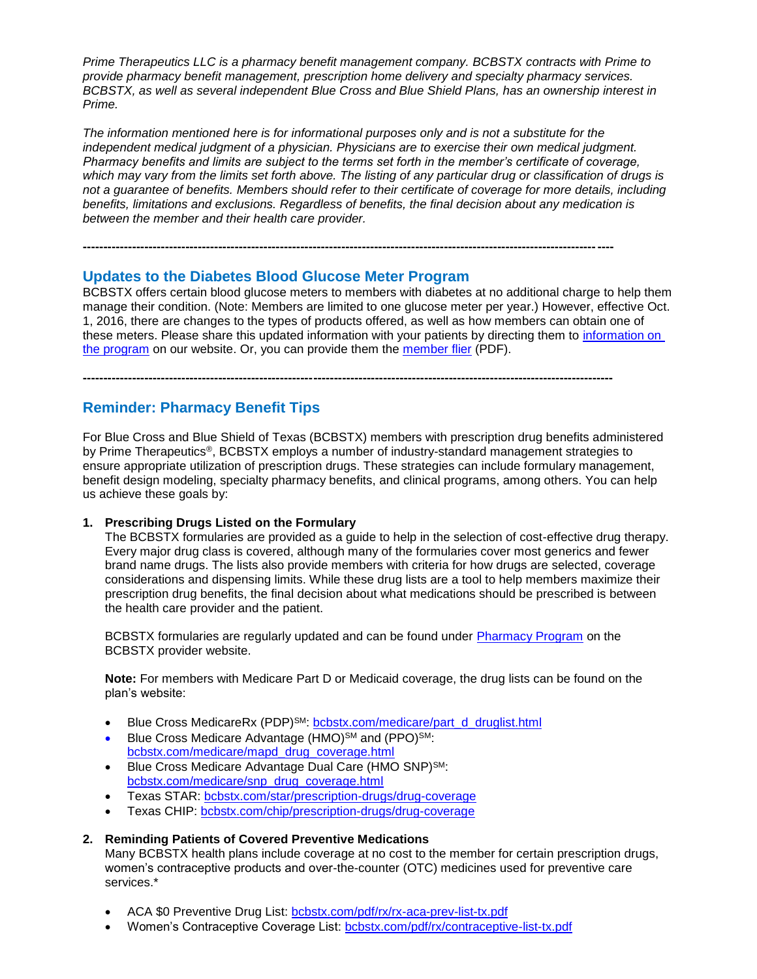*Prime Therapeutics LLC is a pharmacy benefit management company. BCBSTX contracts with Prime to provide pharmacy benefit management, prescription home delivery and specialty pharmacy services. BCBSTX, as well as several independent Blue Cross and Blue Shield Plans, has an ownership interest in Prime.*

*The information mentioned here is for informational purposes only and is not a substitute for the independent medical judgment of a physician. Physicians are to exercise their own medical judgment. Pharmacy benefits and limits are subject to the terms set forth in the member's certificate of coverage, which may vary from the limits set forth above. The listing of any particular drug or classification of drugs is not a guarantee of benefits. Members should refer to their certificate of coverage for more details, including benefits, limitations and exclusions. Regardless of benefits, the final decision about any medication is between the member and their health care provider.*

### **Updates to the Diabetes Blood Glucose Meter Program**

BCBSTX offers certain blood glucose meters to members with diabetes at no additional charge to help them manage their condition. (Note: Members are limited to one glucose meter per year.) However, effective Oct. 1, 2016, there are changes to the types of products offered, as well as how members can obtain one of these meters. Please share this updated information with your patients by directing them to [information on](http://www.bcbstx.com/member/prescription-drug-plan-information/resources)  [the program](http://www.bcbstx.com/member/prescription-drug-plan-information/resources) on our website. Or, you can provide them the [member flier](http://www.bcbstx.com/pdf/rx/glucose-meter-offer-tx.pdf) (PDF).

**---------------------------------------------------------------------------------------------------------------------------------**

**---------------------------------------------------------------------------------------------------------------------------------**

### **Reminder: Pharmacy Benefit Tips**

For Blue Cross and Blue Shield of Texas (BCBSTX) members with prescription drug benefits administered by Prime Therapeutics®, BCBSTX employs a number of industry-standard management strategies to ensure appropriate utilization of prescription drugs. These strategies can include formulary management, benefit design modeling, specialty pharmacy benefits, and clinical programs, among others. You can help us achieve these goals by:

### **1. Prescribing Drugs Listed on the Formulary**

The BCBSTX formularies are provided as a guide to help in the selection of cost-effective drug therapy. Every major drug class is covered, although many of the formularies cover most generics and fewer brand name drugs. The lists also provide members with criteria for how drugs are selected, coverage considerations and dispensing limits. While these drug lists are a tool to help members maximize their prescription drug benefits, the final decision about what medications should be prescribed is between the health care provider and the patient.

BCBSTX formularies are regularly updated and can be found under [Pharmacy Program](http://www.bcbstx.com/provider/pharmacy/index.html) on the BCBSTX provider website.

**Note:** For members with Medicare Part D or Medicaid coverage, the drug lists can be found on the plan's website:

- Blue Cross MedicareRx (PDP)<sup>SM</sup>: [bcbstx.com/medicare/part\\_d\\_druglist.html](http://www.bcbstx.com/medicare/part_d_druglist.html)
- Blue Cross Medicare Advantage (HMO)<sup>SM</sup> and (PPO)<sup>SM</sup>: [bcbstx.com/medicare/mapd\\_drug\\_coverage.html](http://www.bcbstx.com/medicare/mapd_drug_coverage.html)
- Blue Cross Medicare Advantage Dual Care (HMO SNP)SM: [bcbstx.com/medicare/snp\\_drug\\_coverage.html](http://www.bcbstx.com/medicare/snp_drug_coverage.html)
- Texas STAR: [bcbstx.com/star/prescription-drugs/drug-coverage](http://www.bcbstx.com/star/prescription-drugs/drug-coverage)
- Texas CHIP: [bcbstx.com/chip/prescription-drugs/drug-coverage](http://www.bcbstx.com/chip/prescription-drugs/drug-coverage)

### **2. Reminding Patients of Covered Preventive Medications**

Many BCBSTX health plans include coverage at no cost to the member for certain prescription drugs, women's contraceptive products and over-the-counter (OTC) medicines used for preventive care services<sup>\*</sup>

- ACA \$0 Preventive Drug List: [bcbstx.com/pdf/rx/rx-aca-prev-list-tx.pdf](http://www.bcbstx.com/pdf/rx/rx-aca-prev-list-tx.pdf)
- Women's Contraceptive Coverage List: [bcbstx.com/pdf/rx/contraceptive-list-tx.pdf](http://www.bcbstx.com/pdf/rx/contraceptive-list-tx.pdf)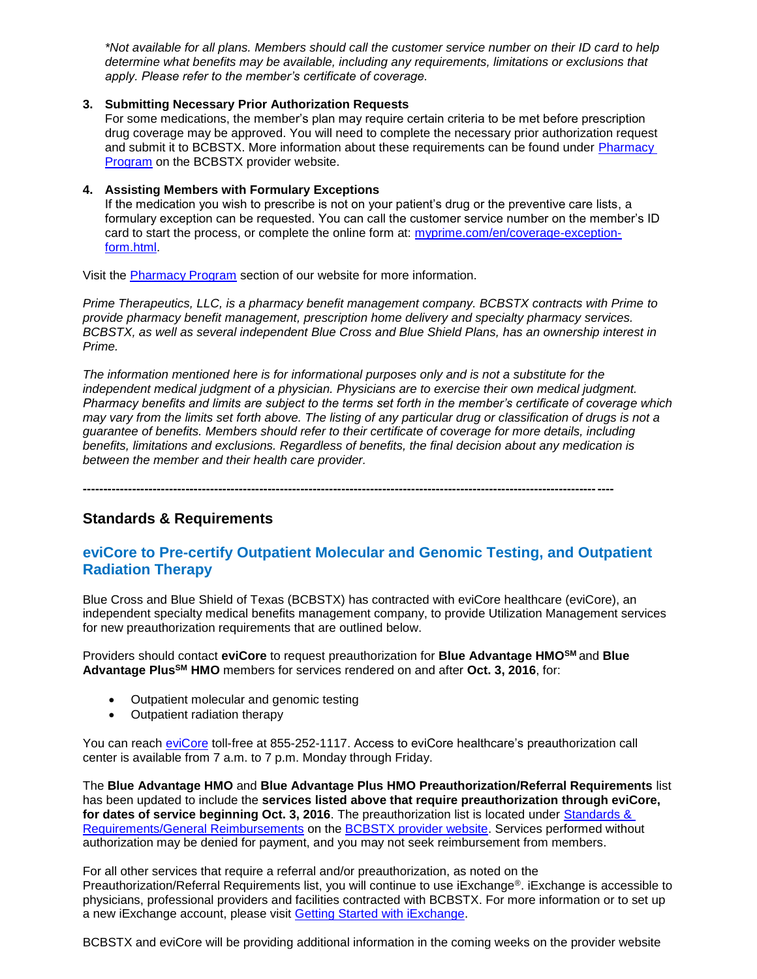*\*Not available for all plans. Members should call the customer service number on their ID card to help determine what benefits may be available, including any requirements, limitations or exclusions that apply. Please refer to the member's certificate of coverage.*

### **3. Submitting Necessary Prior Authorization Requests**

For some medications, the member's plan may require certain criteria to be met before prescription drug coverage may be approved. You will need to complete the necessary prior authorization request and submit it to BCBSTX. More information about these requirements can be found under [Pharmacy](http://www.bcbstx.com/provider/pharmacy/index.html)  [Program](http://www.bcbstx.com/provider/pharmacy/index.html) on the BCBSTX provider website.

### **4. Assisting Members with Formulary Exceptions**

If the medication you wish to prescribe is not on your patient's drug or the preventive care lists, a formulary exception can be requested. You can call the customer service number on the member's ID card to start the process, or complete the online form at: [myprime.com/en/coverage-exception](http://www.myprime.com/en/coverage-exception-form.html)[form.html.](http://www.myprime.com/en/coverage-exception-form.html)

Visit the [Pharmacy Program](http://www.bcbstx.com/provider/pharmacy/index.html) section of our website for more information.

*Prime Therapeutics, LLC, is a pharmacy benefit management company. BCBSTX contracts with Prime to provide pharmacy benefit management, prescription home delivery and specialty pharmacy services. BCBSTX, as well as several independent Blue Cross and Blue Shield Plans, has an ownership interest in Prime.* 

*The information mentioned here is for informational purposes only and is not a substitute for the independent medical judgment of a physician. Physicians are to exercise their own medical judgment. Pharmacy benefits and limits are subject to the terms set forth in the member's certificate of coverage which may vary from the limits set forth above. The listing of any particular drug or classification of drugs is not a guarantee of benefits. Members should refer to their certificate of coverage for more details, including benefits, limitations and exclusions. Regardless of benefits, the final decision about any medication is between the member and their health care provider.*

**---------------------------------------------------------------------------------------------------------------------------------**

### **Standards & Requirements**

### **eviCore to Pre-certify Outpatient Molecular and Genomic Testing, and Outpatient Radiation Therapy**

Blue Cross and Blue Shield of Texas (BCBSTX) has contracted with eviCore healthcare (eviCore), an independent specialty medical benefits management company, to provide Utilization Management services for new preauthorization requirements that are outlined below.

Providers should contact **eviCore** to request preauthorization for **Blue Advantage HMOSM** and **Blue Advantage PlusSM HMO** members for services rendered on and after **Oct. 3, 2016**, for:

- Outpatient molecular and genomic testing
- Outpatient radiation therapy

You can reach [eviCore](http://www.evicore.com/) toll-free at 855-252-1117. Access to eviCore healthcare's preauthorization call center is available from 7 a.m. to 7 p.m. Monday through Friday.

The **Blue Advantage HMO** and **Blue Advantage Plus HMO Preauthorization/Referral Requirements** list has been updated to include the **services listed above that require preauthorization through eviCore, for dates of service beginning Oct. 3, 2016**. The preauthorization list is located under [Standards &](http://www.bcbstx.com/provider/gri/index.html)  [Requirements/General Reimbursements](http://www.bcbstx.com/provider/gri/index.html) on the [BCBSTX provider website.](http://www.bcbstx.com/provider/) Services performed without authorization may be denied for payment, and you may not seek reimbursement from members.

For all other services that require a referral and/or preauthorization, as noted on the Preauthorization/Referral Requirements list, you will continue to use iExchange®. iExchange is accessible to physicians, professional providers and facilities contracted with BCBSTX. For more information or to set up a new iExchange account, please visit [Getting Started with iExchange](https://www.bcbstx.com/provider/tools/iexchange_index.html).

BCBSTX and eviCore will be providing additional information in the coming weeks on the provider website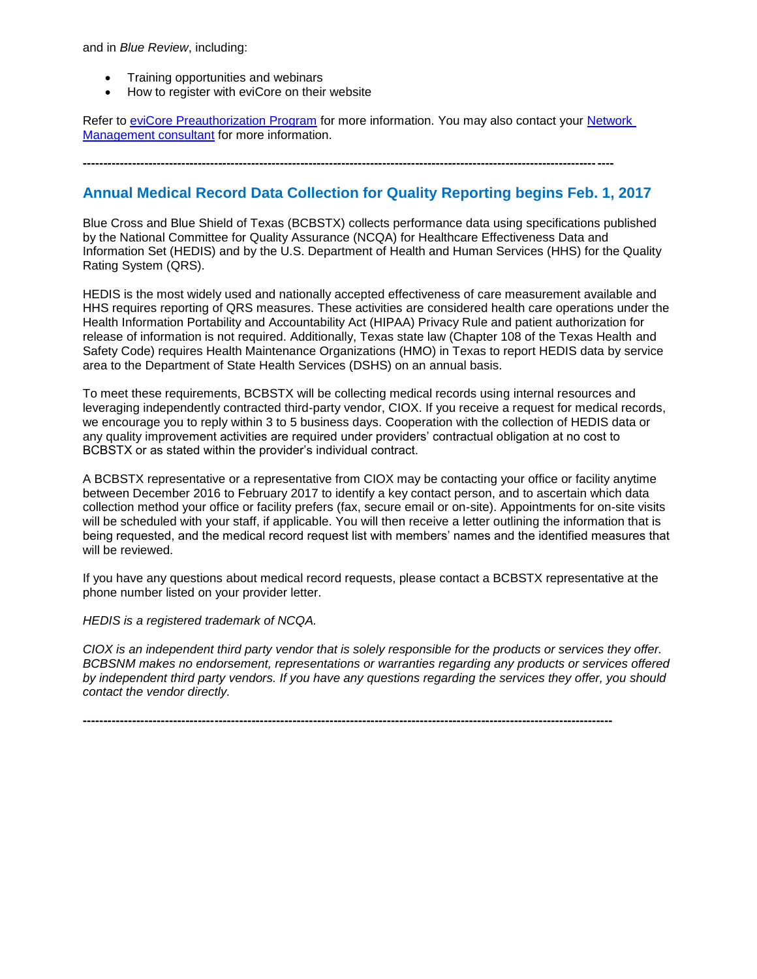and in *Blue Review*, including:

- Training opportunities and webinars
- How to register with eviCore on their website

Refer to [eviCore Preauthorization Program](http://www.bcbstx.com/provider/clinical/evicore.html) for more information. You may also contact your Network [Management consultant](http://www.bcbstx.com/provider/contact_us.html) for more information.

**---------------------------------------------------------------------------------------------------------------------------------**

### **Annual Medical Record Data Collection for Quality Reporting begins Feb. 1, 2017**

Blue Cross and Blue Shield of Texas (BCBSTX) collects performance data using specifications published by the National Committee for Quality Assurance (NCQA) for Healthcare Effectiveness Data and Information Set (HEDIS) and by the U.S. Department of Health and Human Services (HHS) for the Quality Rating System (QRS).

HEDIS is the most widely used and nationally accepted effectiveness of care measurement available and HHS requires reporting of QRS measures. These activities are considered health care operations under the Health Information Portability and Accountability Act (HIPAA) Privacy Rule and patient authorization for release of information is not required. Additionally, Texas state law (Chapter 108 of the Texas Health and Safety Code) requires Health Maintenance Organizations (HMO) in Texas to report HEDIS data by service area to the Department of State Health Services (DSHS) on an annual basis.

To meet these requirements, BCBSTX will be collecting medical records using internal resources and leveraging independently contracted third-party vendor, CIOX. If you receive a request for medical records, we encourage you to reply within 3 to 5 business days. Cooperation with the collection of HEDIS data or any quality improvement activities are required under providers' contractual obligation at no cost to BCBSTX or as stated within the provider's individual contract.

A BCBSTX representative or a representative from CIOX may be contacting your office or facility anytime between December 2016 to February 2017 to identify a key contact person, and to ascertain which data collection method your office or facility prefers (fax, secure email or on-site). Appointments for on-site visits will be scheduled with your staff, if applicable. You will then receive a letter outlining the information that is being requested, and the medical record request list with members' names and the identified measures that will be reviewed.

If you have any questions about medical record requests, please contact a BCBSTX representative at the phone number listed on your provider letter.

*HEDIS is a registered trademark of NCQA.*

*CIOX is an independent third party vendor that is solely responsible for the products or services they offer. BCBSNM makes no endorsement, representations or warranties regarding any products or services offered by independent third party vendors. If you have any questions regarding the services they offer, you should contact the vendor directly.*

**---------------------------------------------------------------------------------------------------------------------------------**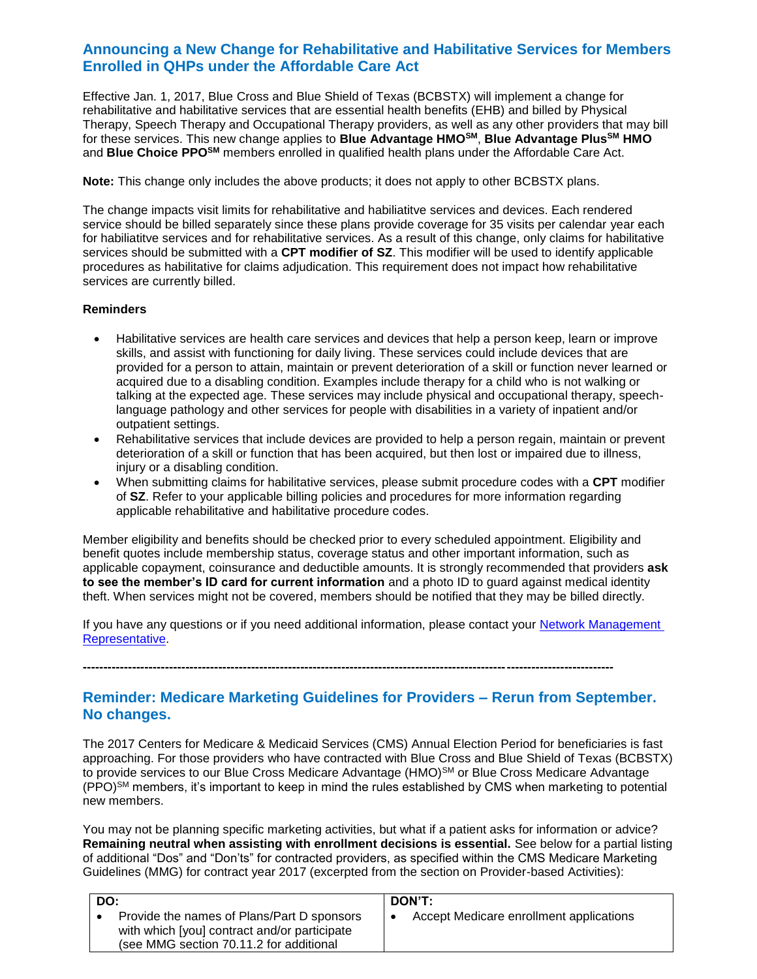### **Announcing a New Change for Rehabilitative and Habilitative Services for Members Enrolled in QHPs under the Affordable Care Act**

Effective Jan. 1, 2017, Blue Cross and Blue Shield of Texas (BCBSTX) will implement a change for rehabilitative and habilitative services that are essential health benefits (EHB) and billed by Physical Therapy, Speech Therapy and Occupational Therapy providers, as well as any other providers that may bill for these services. This new change applies to **Blue Advantage HMOSM**, **Blue Advantage PlusSM HMO**  and **Blue Choice PPOSM** members enrolled in qualified health plans under the Affordable Care Act.

**Note:** This change only includes the above products; it does not apply to other BCBSTX plans.

The change impacts visit limits for rehabilitative and habiliatitve services and devices. Each rendered service should be billed separately since these plans provide coverage for 35 visits per calendar year each for habiliatitve services and for rehabilitative services. As a result of this change, only claims for habilitative services should be submitted with a **CPT modifier of SZ**. This modifier will be used to identify applicable procedures as habilitative for claims adjudication. This requirement does not impact how rehabilitative services are currently billed.

### **Reminders**

- Habilitative services are health care services and devices that help a person keep, learn or improve skills, and assist with functioning for daily living. These services could include devices that are provided for a person to attain, maintain or prevent deterioration of a skill or function never learned or acquired due to a disabling condition. Examples include therapy for a child who is not walking or talking at the expected age. These services may include physical and occupational therapy, speechlanguage pathology and other services for people with disabilities in a variety of inpatient and/or outpatient settings.
- Rehabilitative services that include devices are provided to help a person regain, maintain or prevent deterioration of a skill or function that has been acquired, but then lost or impaired due to illness, injury or a disabling condition.
- When submitting claims for habilitative services, please submit procedure codes with a **CPT** modifier of **SZ**. Refer to your applicable billing policies and procedures for more information regarding applicable rehabilitative and habilitative procedure codes.

Member eligibility and benefits should be checked prior to every scheduled appointment. Eligibility and benefit quotes include membership status, coverage status and other important information, such as applicable copayment, coinsurance and deductible amounts. It is strongly recommended that providers **ask to see the member's ID card for current information** and a photo ID to guard against medical identity theft. When services might not be covered, members should be notified that they may be billed directly.

If you have any questions or if you need additional information, please contact your [Network Management](http://www.bcbstx.com/provider/contact_us.html)  [Representative.](http://www.bcbstx.com/provider/contact_us.html) 

**---------------------------------------------------------------------------------------------------------------------------------**

### **Reminder: Medicare Marketing Guidelines for Providers – Rerun from September. No changes.**

The 2017 Centers for Medicare & Medicaid Services (CMS) Annual Election Period for beneficiaries is fast approaching. For those providers who have contracted with Blue Cross and Blue Shield of Texas (BCBSTX) to provide services to our Blue Cross Medicare Advantage (HMO)<sup>SM</sup> or Blue Cross Medicare Advantage  $(PPO)$ <sup>SM</sup> members, it's important to keep in mind the rules established by CMS when marketing to potential new members.

You may not be planning specific marketing activities, but what if a patient asks for information or advice? **Remaining neutral when assisting with enrollment decisions is essential.** See below for a partial listing of additional "Dos" and "Don'ts" for contracted providers, as specified within the CMS Medicare Marketing Guidelines (MMG) for contract year 2017 (excerpted from the section on Provider-based Activities):

| DO: |                                                                                                                                       | DON'T:                                  |
|-----|---------------------------------------------------------------------------------------------------------------------------------------|-----------------------------------------|
|     | Provide the names of Plans/Part D sponsors<br>with which [you] contract and/or participate<br>(see MMG section 70.11.2 for additional | Accept Medicare enrollment applications |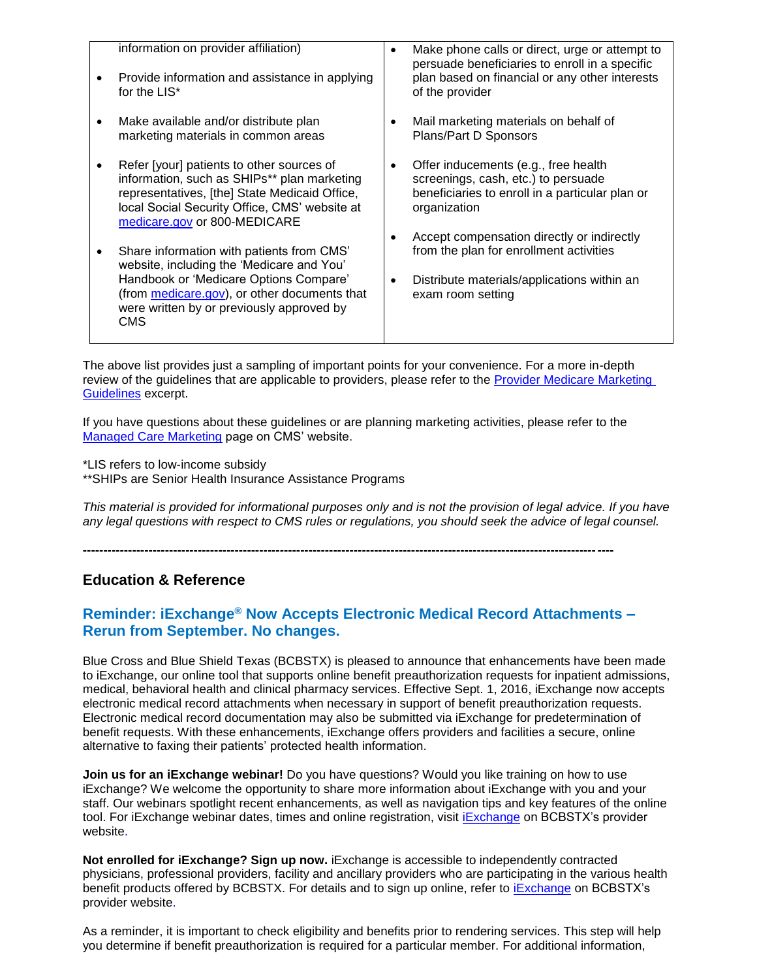| information on provider affiliation)<br>Provide information and assistance in applying<br>for the LIS*                                                                                                                                      | Make phone calls or direct, urge or attempt to<br>persuade beneficiaries to enroll in a specific<br>plan based on financial or any other interests<br>of the provider |  |
|---------------------------------------------------------------------------------------------------------------------------------------------------------------------------------------------------------------------------------------------|-----------------------------------------------------------------------------------------------------------------------------------------------------------------------|--|
| Make available and/or distribute plan<br>marketing materials in common areas                                                                                                                                                                | Mail marketing materials on behalf of<br>Plans/Part D Sponsors                                                                                                        |  |
| Refer [your] patients to other sources of<br>information, such as SHIPs** plan marketing<br>representatives, [the] State Medicaid Office,<br>local Social Security Office, CMS' website at<br>medicare.gov or 800-MEDICARE                  | Offer inducements (e.g., free health<br>screenings, cash, etc.) to persuade<br>beneficiaries to enroll in a particular plan or<br>organization                        |  |
| Share information with patients from CMS'<br>website, including the 'Medicare and You'<br>Handbook or 'Medicare Options Compare'<br>(from medicare.gov), or other documents that<br>were written by or previously approved by<br><b>CMS</b> | Accept compensation directly or indirectly<br>from the plan for enrollment activities<br>Distribute materials/applications within an<br>exam room setting             |  |

The above list provides just a sampling of important points for your convenience. For a more in-depth review of the guidelines that are applicable to providers, please refer to the [Provider Medicare Marketing](http://www.bcbstx.com/provider/pdf/medicare_marketing_guidelines.pdf)  [Guidelines](http://www.bcbstx.com/provider/pdf/medicare_marketing_guidelines.pdf) excerpt.

If you have questions about these guidelines or are planning marketing activities, please refer to the [Managed Care Marketing](https://www.cms.gov/Medicare/Health-Plans/ManagedCareMarketing/index.html) page on CMS' website.

\*LIS refers to low-income subsidy

\*\*SHIPs are Senior Health Insurance Assistance Programs

*This material is provided for informational purposes only and is not the provision of legal advice. If you have any legal questions with respect to CMS rules or regulations, you should seek the advice of legal counsel.* 

### **Education & Reference**

### **Reminder: iExchange® Now Accepts Electronic Medical Record Attachments – Rerun from September. No changes.**

**---------------------------------------------------------------------------------------------------------------------------------**

Blue Cross and Blue Shield Texas (BCBSTX) is pleased to announce that enhancements have been made to iExchange, our online tool that supports online benefit preauthorization requests for inpatient admissions, medical, behavioral health and clinical pharmacy services. Effective Sept. 1, 2016, iExchange now accepts electronic medical record attachments when necessary in support of benefit preauthorization requests. Electronic medical record documentation may also be submitted via iExchange for predetermination of benefit requests. With these enhancements, iExchange offers providers and facilities a secure, online alternative to faxing their patients' protected health information.

**Join us for an iExchange webinar!** Do you have questions? Would you like training on how to use iExchange? We welcome the opportunity to share more information about iExchange with you and your staff. Our webinars spotlight recent enhancements, as well as navigation tips and key features of the online tool. For iExchange webinar dates, times and online registration, visit [iExchange](http://www.bcbstx.com/provider/tools/iexchange_index.html) on BCBSTX's provider website.

**Not enrolled for iExchange? Sign up now.** iExchange is accessible to independently contracted physicians, professional providers, facility and ancillary providers who are participating in the various health benefit products offered by BCBSTX. For details and to sign up online, refer to [iExchange](https://www.bcbstx.com/provider/tools/iexchange_index.html) on BCBSTX's provider website.

As a reminder, it is important to check eligibility and benefits prior to rendering services. This step will help you determine if benefit preauthorization is required for a particular member. For additional information,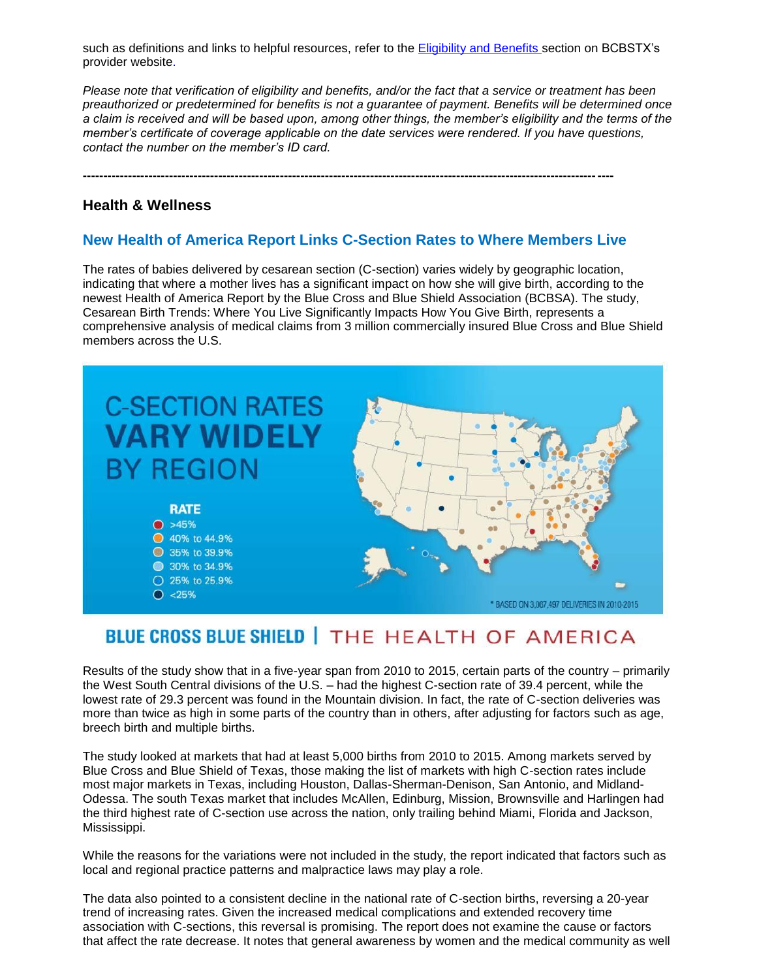such as definiti[on](http://www.bcbstx.com/provider)s and links to helpful resources, refer to the **Eligibility and Benefits section on BCBSTX's** provider website.

*Please note that verification of eligibility and benefits, and/or the fact that a service or treatment has been preauthorized or predetermined for benefits is not a guarantee of payment. Benefits will be determined once a claim is received and will be based upon, among other things, the member's eligibility and the terms of the member's certificate of coverage applicable on the date services were rendered. If you have questions, contact the number on the member's ID card.*

### **Health & Wellness**

### **New Health of America Report Links C-Section Rates to Where Members Live**

**---------------------------------------------------------------------------------------------------------------------------------**

The rates of babies delivered by cesarean section (C-section) varies widely by geographic location, indicating that where a mother lives has a significant impact on how she will give birth, according to the newest Health of America Report by the Blue Cross and Blue Shield Association (BCBSA). The study, Cesarean Birth Trends: Where You Live Significantly Impacts How You Give Birth, represents a comprehensive analysis of medical claims from 3 million commercially insured Blue Cross and Blue Shield members across the U.S.



# **BLUE CROSS BLUE SHIELD | THE HEALTH OF AMERICA**

Results of the study show that in a five-year span from 2010 to 2015, certain parts of the country – primarily the West South Central divisions of the U.S. – had the highest C-section rate of 39.4 percent, while the lowest rate of 29.3 percent was found in the Mountain division. In fact, the rate of C-section deliveries was more than twice as high in some parts of the country than in others, after adjusting for factors such as age, breech birth and multiple births.

The study looked at markets that had at least 5,000 births from 2010 to 2015. Among markets served by Blue Cross and Blue Shield of Texas, those making the list of markets with high C-section rates include most major markets in Texas, including Houston, Dallas-Sherman-Denison, San Antonio, and Midland-Odessa. The south Texas market that includes McAllen, Edinburg, Mission, Brownsville and Harlingen had the third highest rate of C-section use across the nation, only trailing behind Miami, Florida and Jackson, Mississippi.

While the reasons for the variations were not included in the study, the report indicated that factors such as local and regional practice patterns and malpractice laws may play a role.

The data also pointed to a consistent decline in the national rate of C-section births, reversing a 20-year trend of increasing rates. Given the increased medical complications and extended recovery time association with C-sections, this reversal is promising. The report does not examine the cause or factors that affect the rate decrease. It notes that general awareness by women and the medical community as well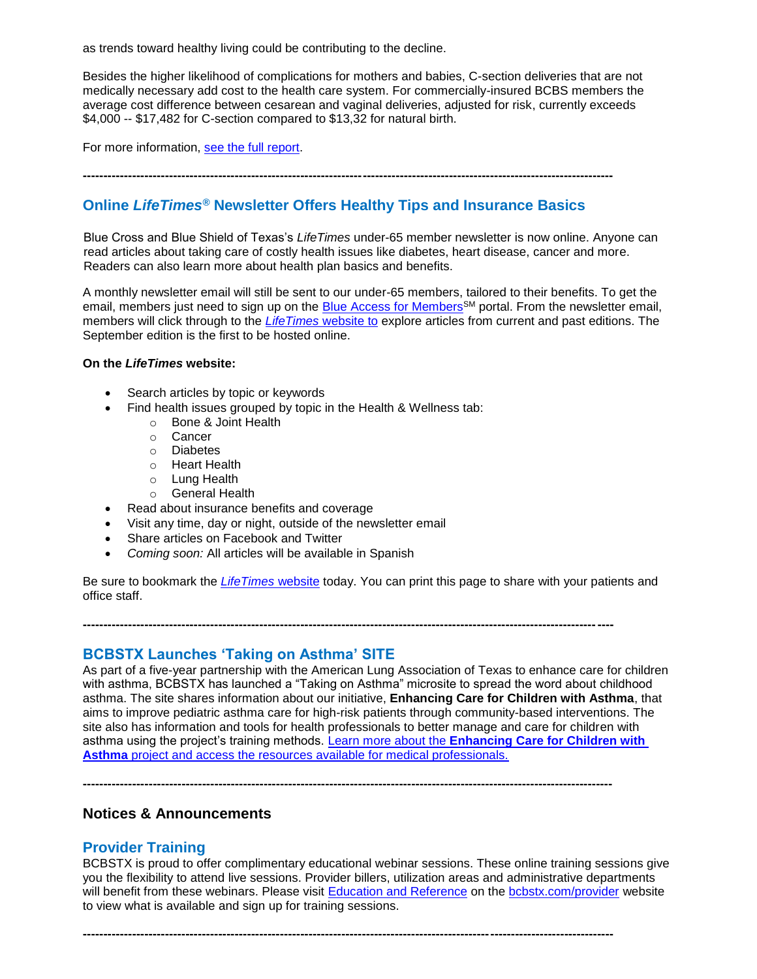as trends toward healthy living could be contributing to the decline.

Besides the higher likelihood of complications for mothers and babies, C-section deliveries that are not medically necessary add cost to the health care system. For commercially-insured BCBS members the average cost difference between cesarean and vaginal deliveries, adjusted for risk, currently exceeds \$4,000 -- \$17,482 for C-section compared to \$13,32 for natural birth.

For more information, [see the full report.](http://www.bcbs.com/healthofamerica)

**---------------------------------------------------------------------------------------------------------------------------------**

### **Online** *LifeTimes®* **Newsletter Offers Healthy Tips and Insurance Basics**

Blue Cross and Blue Shield of Texas's *LifeTimes* under-65 member newsletter is now [online](file:///C:/Users/U032388/AppData/Local/Microsoft/Windows/Temporary%20Internet%20Files/Content.Outlook/96PDUHF8/ifetimes.bcbstx.com). Anyone can read articles about taking care of costly health issues like diabetes, heart disease, cancer and more. Readers can also learn more about health plan basics and benefits.

A monthly newsletter email will still be sent to our under-65 members, tailored to their benefits. To get the email, members just need to sign up on the [Blue Access for Members](http://www.bcbstx.com/member)<sup>SM</sup> portal. From the newsletter email, members will click through to the *[LifeTimes](http://lifetimes.bcbstx.com/)* website to explore articles from current and past editions. The September edition is the first to be hosted online.

### **On the** *LifeTimes* **website:**

- Search articles by topic or keywords
- Find health issues grouped by topic in the Health & Wellness tab:
	- o Bone & Joint Health
	- o Cancer
	- o Diabetes
	- o Heart Health
	- o Lung Health
	- o General Health
- Read about insurance benefits and coverage
- Visit any time, day or night, outside of the newsletter email
- Share articles on Facebook and Twitter
- *Coming soon:* All articles will be available in Spanish

Be sure to bookmark the *[LifeTimes](http://lifetimes.bcbstx.com/)* website today. You can print this page to share with your patients and office staff.

**---------------------------------------------------------------------------------------------------------------------------------**

**---------------------------------------------------------------------------------------------------------------------------------**

**---------------------------------------------------------------------------------------------------------------------------------**

**BCBSTX Launches 'Taking on Asthma' SITE**

As part of a five-year partnership with the American Lung Association of Texas to enhance care for children with asthma, BCBSTX has launched a "Taking on Asthma" microsite to spread the word about childhood asthma. The site shares information about our initiative, **Enhancing Care for Children with Asthma**, that aims to improve pediatric asthma care for high-risk patients through community-based interventions. The site also has information and tools for health professionals to better manage and care for children with asthma using the project's training methods. Learn more about the **[Enhancing Care for Children with](http://www.bcbstx.com/taking-on-asthma)  Asthma** [project and access the resources available for medical professionals.](http://www.bcbstx.com/taking-on-asthma)

### **Notices & Announcements**

### **Provider Training**

BCBSTX is proud to offer complimentary educational webinar sessions. These online training sessions give you the flexibility to attend live sessions. Provider billers, utilization areas and administrative departments will benefit from these webinars. Please visit [Education and Reference](http://www.bcbstx.com/provider/training/index.html) on the [bcbstx.com/provider](http://www.bcbstx.com/provider/index.html) website to view what is available and sign up for training sessions.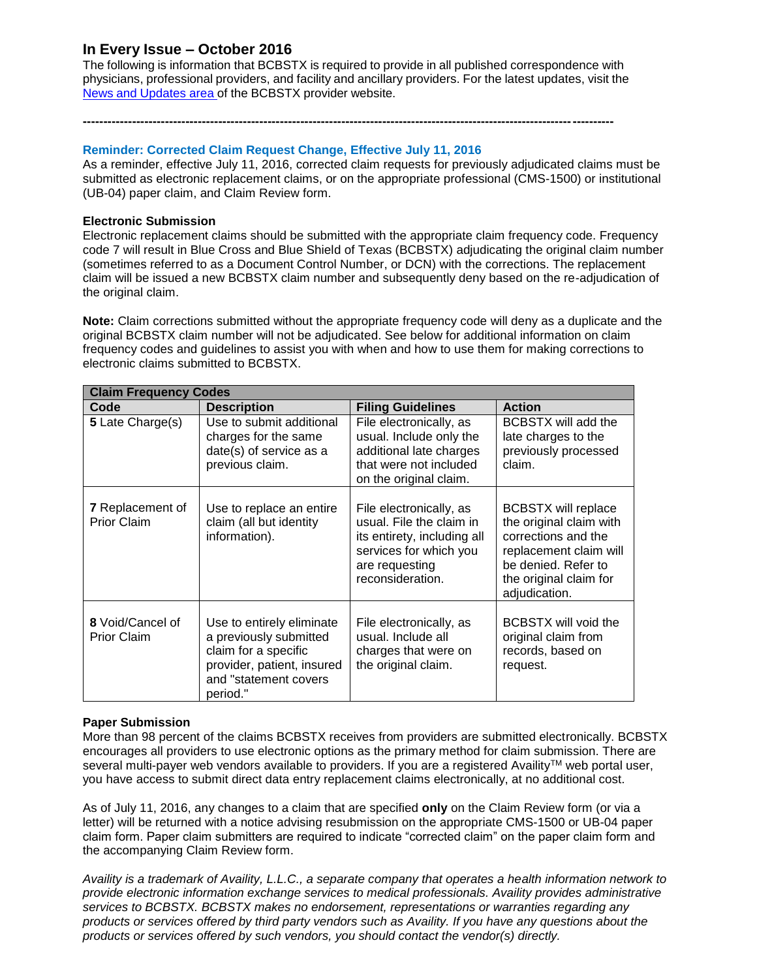### **In Every Issue – October 2016**

The following is information that BCBSTX is required to provide in all published correspondence with physicians, professional providers, and facility and ancillary providers. For the latest updates, visit the News and [Updates](http://www.bcbstx.com/provider/news/index.html) area of the BCBSTX provider website.

**---------------------------------------------------------------------------------------------------------------------------------**

### **Reminder: Corrected Claim Request Change, Effective July 11, 2016**

As a reminder, effective July 11, 2016, corrected claim requests for previously adjudicated claims must be submitted as electronic replacement claims, or on the appropriate professional (CMS-1500) or institutional (UB-04) paper claim, and Claim Review form.

### **Electronic Submission**

Electronic replacement claims should be submitted with the appropriate claim frequency code. Frequency code 7 will result in Blue Cross and Blue Shield of Texas (BCBSTX) adjudicating the original claim number (sometimes referred to as a Document Control Number, or DCN) with the corrections. The replacement claim will be issued a new BCBSTX claim number and subsequently deny based on the re-adjudication of the original claim.

**Note:** Claim corrections submitted without the appropriate frequency code will deny as a duplicate and the original BCBSTX claim number will not be adjudicated. See below for additional information on claim frequency codes and guidelines to assist you with when and how to use them for making corrections to electronic claims submitted to BCBSTX.

| <b>Claim Frequency Codes</b>                  |                                                                                                                                                |                                                                                                                                                    |                                                                                                                                                                          |
|-----------------------------------------------|------------------------------------------------------------------------------------------------------------------------------------------------|----------------------------------------------------------------------------------------------------------------------------------------------------|--------------------------------------------------------------------------------------------------------------------------------------------------------------------------|
| Code                                          | <b>Description</b>                                                                                                                             | <b>Filing Guidelines</b>                                                                                                                           | <b>Action</b>                                                                                                                                                            |
| 5 Late Charge(s)                              | Use to submit additional<br>charges for the same<br>date(s) of service as a<br>previous claim.                                                 | File electronically, as<br>usual. Include only the<br>additional late charges<br>that were not included<br>on the original claim.                  | <b>BCBSTX will add the</b><br>late charges to the<br>previously processed<br>claim.                                                                                      |
| <b>7</b> Replacement of<br><b>Prior Claim</b> | Use to replace an entire<br>claim (all but identity<br>information).                                                                           | File electronically, as<br>usual. File the claim in<br>its entirety, including all<br>services for which you<br>are requesting<br>reconsideration. | <b>BCBSTX will replace</b><br>the original claim with<br>corrections and the<br>replacement claim will<br>be denied. Refer to<br>the original claim for<br>adjudication. |
| 8 Void/Cancel of<br><b>Prior Claim</b>        | Use to entirely eliminate<br>a previously submitted<br>claim for a specific<br>provider, patient, insured<br>and "statement covers<br>period." | File electronically, as<br>usual. Include all<br>charges that were on<br>the original claim.                                                       | <b>BCBSTX will void the</b><br>original claim from<br>records, based on<br>request.                                                                                      |

### **Paper Submission**

More than 98 percent of the claims BCBSTX receives from providers are submitted electronically. BCBSTX encourages all providers to use electronic options as the primary method for claim submission. There are several multi-payer web vendors available to providers. If you are a registered Availity™ web portal user, you have access to submit direct data entry replacement claims electronically, at no additional cost.

As of July 11, 2016, any changes to a claim that are specified **only** on the Claim Review form (or via a letter) will be returned with a notice advising resubmission on the appropriate CMS-1500 or UB-04 paper claim form. Paper claim submitters are required to indicate "corrected claim" on the paper claim form and the accompanying Claim Review form.

*Availity is a trademark of Availity, L.L.C., a separate company that operates a health information network to provide electronic information exchange services to medical professionals. Availity provides administrative services to BCBSTX. BCBSTX makes no endorsement, representations or warranties regarding any products or services offered by third party vendors such as Availity. If you have any questions about the products or services offered by such vendors, you should contact the vendor(s) directly.*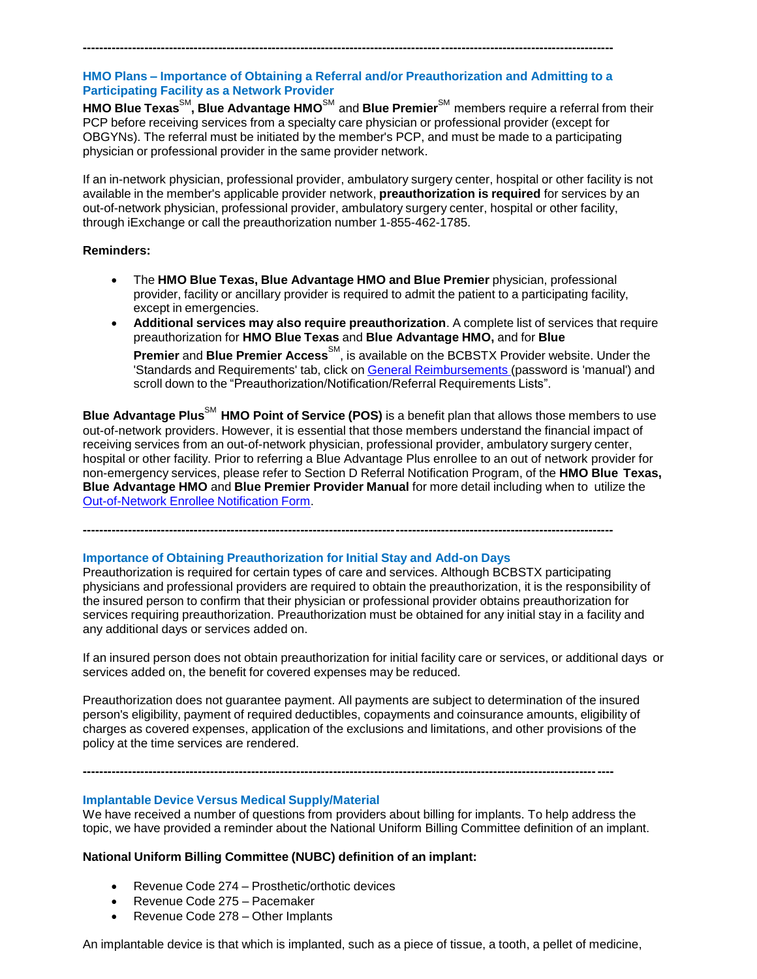### **HMO Plans – Importance of Obtaining a Referral and/or Preauthorization and Admitting to a Participating Facility as a Network Provider**

**---------------------------------------------------------------------------------------------------------------------------------**

**HMO Blue Texas**SM **, Blue Advantage HMO**SM and **Blue Premier**SM members require a referral from their PCP before receiving services from a specialty care physician or professional provider (except for OBGYNs). The referral must be initiated by the member's PCP, and must be made to a participating physician or professional provider in the same provider network.

If an in-network physician, professional provider, ambulatory surgery center, hospital or other facility is not available in the member's applicable provider network, **preauthorization is required** for services by an out-of-network physician, professional provider, ambulatory surgery center, hospital or other facility, through iExchange or call the preauthorization number 1-855-462-1785.

### **Reminders:**

- The **HMO Blue Texas, Blue Advantage HMO and Blue Premier** physician, professional provider, facility or ancillary provider is required to admit the patient to a participating facility, except in emergencies.
- **Additional services may also require preauthorization**. A complete list of services that require preauthorization for **HMO Blue Texas** and **Blue Advantage HMO,** and for **Blue Premier** and Blue Premier Access<sup>SM</sup>, is available on the BCBSTX Provider website. Under the 'Standards and Requirements' tab, click on General [Reimbursements](https://www.bcbstx.com/provider/gri/index.html) (password is 'manual') and scroll down to the "Preauthorization/Notification/Referral Requirements Lists".

**Blue Advantage Plus**SM **HMO Point of Service (POS)** is a benefit plan that allows those members to use out-of-network providers. However, it is essential that those members understand the financial impact of receiving services from an out-of-network physician, professional provider, ambulatory surgery center, hospital or other facility. Prior to referring a Blue Advantage Plus enrollee to an out of network provider for non-emergency services, please refer to Section D Referral Notification Program, of the **HMO Blue Texas, Blue Advantage HMO** and **Blue Premier Provider Manual** for more detail including when to utilize the [Out-of-Network](https://www.bcbstx.com/provider/pdf/out-of-network-care-enrollee-notification-form.pdf) Enrollee Notification Form.

**Importance of Obtaining Preauthorization for Initial Stay and Add-on Days** Preauthorization is required for certain types of care and services. Although BCBSTX participating physicians and professional providers are required to obtain the preauthorization, it is the responsibility of the insured person to confirm that their physician or professional provider obtains preauthorization for services requiring preauthorization. Preauthorization must be obtained for any initial stay in a facility and any additional days or services added on.

**---------------------------------------------------------------------------------------------------------------------------------**

If an insured person does not obtain preauthorization for initial facility care or services, or additional days or services added on, the benefit for covered expenses may be reduced.

Preauthorization does not guarantee payment. All payments are subject to determination of the insured person's eligibility, payment of required deductibles, copayments and coinsurance amounts, eligibility of charges as covered expenses, application of the exclusions and limitations, and other provisions of the policy at the time services are rendered.

**---------------------------------------------------------------------------------------------------------------------------------**

### **Implantable Device Versus Medical Supply/Material**

We have received a number of questions from providers about billing for implants. To help address the topic, we have provided a reminder about the National Uniform Billing Committee definition of an implant.

### **National Uniform Billing Committee (NUBC) definition of an implant:**

- Revenue Code 274 Prosthetic/orthotic devices
- Revenue Code 275 Pacemaker
- Revenue Code 278 Other Implants

An implantable device is that which is implanted, such as a piece of tissue, a tooth, a pellet of medicine,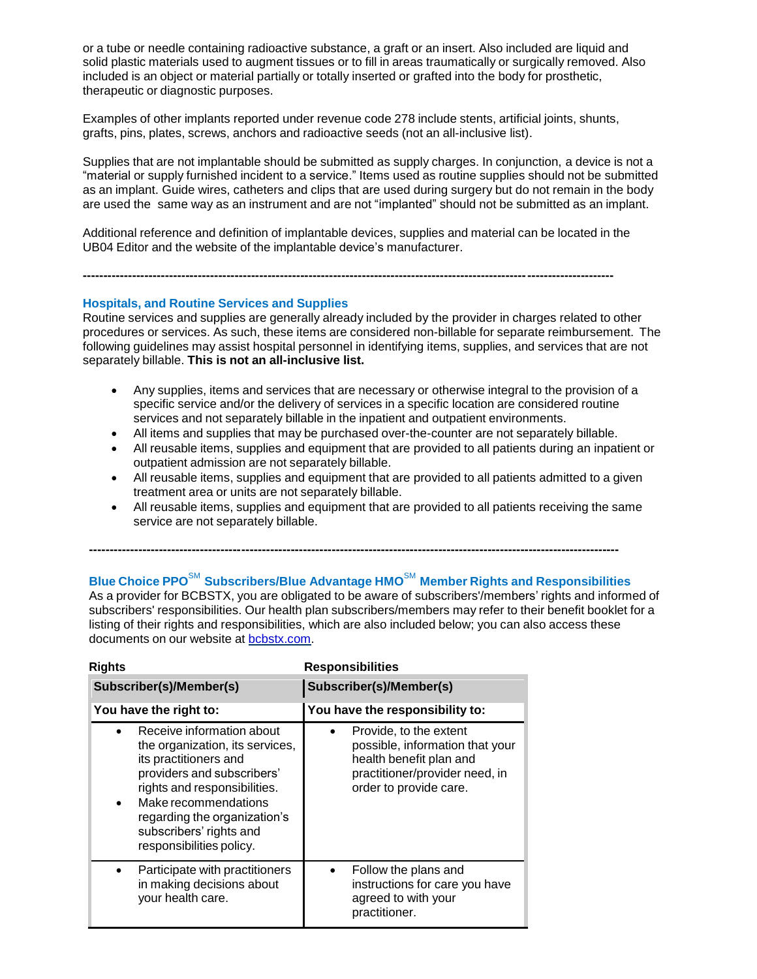or a tube or needle containing radioactive substance, a graft or an insert. Also included are liquid and solid plastic materials used to augment tissues or to fill in areas traumatically or surgically removed. Also included is an object or material partially or totally inserted or grafted into the body for prosthetic, therapeutic or diagnostic purposes.

Examples of other implants reported under revenue code 278 include stents, artificial joints, shunts, grafts, pins, plates, screws, anchors and radioactive seeds (not an all-inclusive list).

Supplies that are not implantable should be submitted as supply charges. In conjunction, a device is not a "material or supply furnished incident to a service." Items used as routine supplies should not be submitted as an implant. Guide wires, catheters and clips that are used during surgery but do not remain in the body are used the same way as an instrument and are not "implanted" should not be submitted as an implant.

Additional reference and definition of implantable devices, supplies and material can be located in the UB04 Editor and the website of the implantable device's manufacturer.

**---------------------------------------------------------------------------------------------------------------------------------**

### **Hospitals, and Routine Services and Supplies**

Routine services and supplies are generally already included by the provider in charges related to other procedures or services. As such, these items are considered non-billable for separate reimbursement. The following guidelines may assist hospital personnel in identifying items, supplies, and services that are not separately billable. **This is not an all-inclusive list.**

- Any supplies, items and services that are necessary or otherwise integral to the provision of a specific service and/or the delivery of services in a specific location are considered routine services and not separately billable in the inpatient and outpatient environments.
- All items and supplies that may be purchased over-the-counter are not separately billable.
- All reusable items, supplies and equipment that are provided to all patients during an inpatient or outpatient admission are not separately billable.
- All reusable items, supplies and equipment that are provided to all patients admitted to a given treatment area or units are not separately billable.
- All reusable items, supplies and equipment that are provided to all patients receiving the same service are not separately billable.

As a provider for BCBSTX, you are obligated to be aware of subscribers'/members' rights and informed of subscribers' responsibilities. Our health plan subscribers/members may refer to their benefit booklet for a listing of their rights and responsibilities, which are also included below; you can also access these documents on our website at [bcbstx.com](https://www.bcbstx.com/).

| <b>Rights</b>                                                                                                                                                                                                                                                                   | <b>Responsibilities</b>                                                                                                                          |  |
|---------------------------------------------------------------------------------------------------------------------------------------------------------------------------------------------------------------------------------------------------------------------------------|--------------------------------------------------------------------------------------------------------------------------------------------------|--|
| Subscriber(s)/Member(s)                                                                                                                                                                                                                                                         | Subscriber(s)/Member(s)                                                                                                                          |  |
| You have the right to:                                                                                                                                                                                                                                                          | You have the responsibility to:                                                                                                                  |  |
| Receive information about<br>the organization, its services,<br>its practitioners and<br>providers and subscribers'<br>rights and responsibilities.<br>Make recommendations<br>$\bullet$<br>regarding the organization's<br>subscribers' rights and<br>responsibilities policy. | Provide, to the extent<br>possible, information that your<br>health benefit plan and<br>practitioner/provider need, in<br>order to provide care. |  |
| Participate with practitioners<br>in making decisions about<br>your health care.                                                                                                                                                                                                | Follow the plans and<br>instructions for care you have<br>agreed to with your<br>practitioner.                                                   |  |

## **Blue Choice PPO**SM **Subscribers/Blue Advantage HMO**SM **Member Rights and Responsibilities**

**---------------------------------------------------------------------------------------------------------------------------------**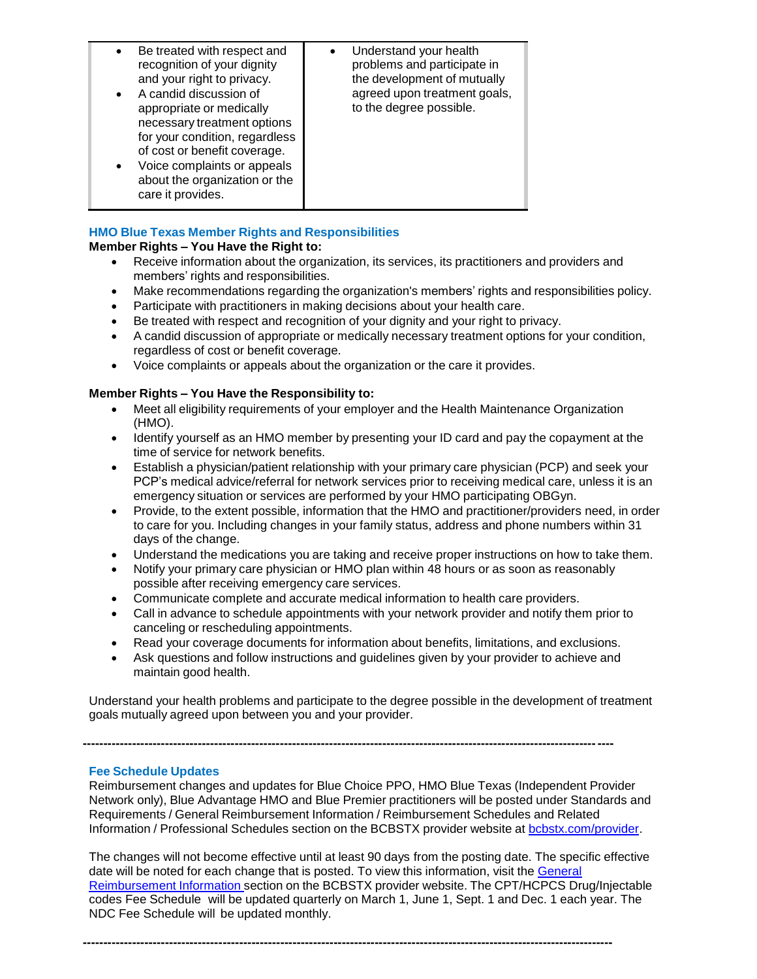| Be treated with respect and<br>$\bullet$<br>recognition of your dignity<br>and your right to privacy.<br>A candid discussion of<br>$\bullet$<br>appropriate or medically<br>necessary treatment options<br>for your condition, regardless<br>of cost or benefit coverage.<br>Voice complaints or appeals<br>$\bullet$<br>about the organization or the<br>care it provides. | Understand your health<br>$\bullet$<br>problems and participate in<br>the development of mutually<br>agreed upon treatment goals,<br>to the degree possible. |
|-----------------------------------------------------------------------------------------------------------------------------------------------------------------------------------------------------------------------------------------------------------------------------------------------------------------------------------------------------------------------------|--------------------------------------------------------------------------------------------------------------------------------------------------------------|
|-----------------------------------------------------------------------------------------------------------------------------------------------------------------------------------------------------------------------------------------------------------------------------------------------------------------------------------------------------------------------------|--------------------------------------------------------------------------------------------------------------------------------------------------------------|

### **HMO Blue Texas Member Rights and Responsibilities**

### **Member Rights – You Have the Right to:**

- Receive information about the organization, its services, its practitioners and providers and members' rights and responsibilities.
- Make recommendations regarding the organization's members' rights and responsibilities policy.
- Participate with practitioners in making decisions about your health care.
- Be treated with respect and recognition of your dignity and your right to privacy.
- A candid discussion of appropriate or medically necessary treatment options for your condition, regardless of cost or benefit coverage.
- Voice complaints or appeals about the organization or the care it provides.

### **Member Rights – You Have the Responsibility to:**

- Meet all eligibility requirements of your employer and the Health Maintenance Organization (HMO).
- Identify yourself as an HMO member by presenting your ID card and pay the copayment at the time of service for network benefits.
- Establish a physician/patient relationship with your primary care physician (PCP) and seek your PCP's medical advice/referral for network services prior to receiving medical care, unless it is an emergency situation or services are performed by your HMO participating OBGyn.
- Provide, to the extent possible, information that the HMO and practitioner/providers need, in order to care for you. Including changes in your family status, address and phone numbers within 31 days of the change.
- Understand the medications you are taking and receive proper instructions on how to take them.
- Notify your primary care physician or HMO plan within 48 hours or as soon as reasonably possible after receiving emergency care services.
- Communicate complete and accurate medical information to health care providers.
- Call in advance to schedule appointments with your network provider and notify them prior to canceling or rescheduling appointments.
- Read your coverage documents for information about benefits, limitations, and exclusions.
- Ask questions and follow instructions and guidelines given by your provider to achieve and maintain good health.

Understand your health problems and participate to the degree possible in the development of treatment goals mutually agreed upon between you and your provider.

**---------------------------------------------------------------------------------------------------------------------------------**

### **Fee Schedule Updates**

Reimbursement changes and updates for Blue Choice PPO, HMO Blue Texas (Independent Provider Network only), Blue Advantage HMO and Blue Premier practitioners will be posted under Standards and Requirements / General Reimbursement Information / Reimbursement Schedules and Related Information / Professional Schedules section on the BCBSTX provider website at [bcbstx.com/provider.](https://www.bcbstx.com/provider/)

The changes will not become effective until at least 90 days from the posting date. The specific effective date will be noted for each change that is posted. To view this information, visit the General Reimbursement Information section on the BCBSTX provider website. The [CPT/HCPCS Dr](https://www.bcbstx.com/provider/gri/index.html)ug/Injectable codes Fee Schedule will be updated quarterly on March 1, June 1, Sept. 1 and Dec. 1 each year. The NDC Fee Schedule will be updated monthly.

**---------------------------------------------------------------------------------------------------------------------------------**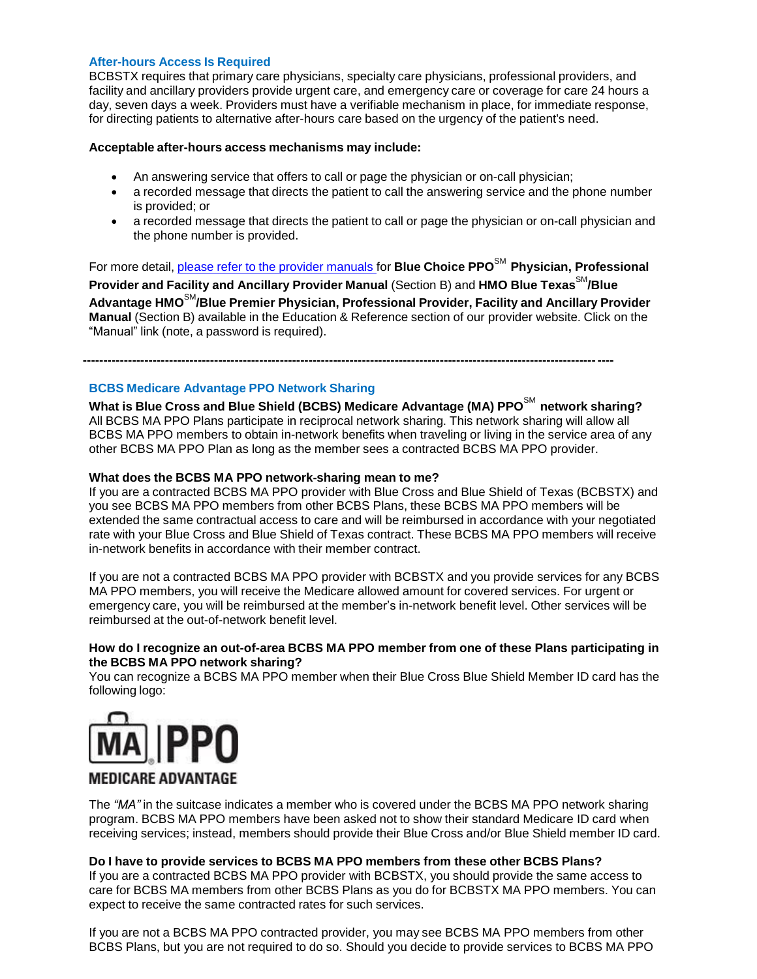### **After-hours Access Is Required**

BCBSTX requires that primary care physicians, specialty care physicians, professional providers, and facility and ancillary providers provide urgent care, and emergency care or coverage for care 24 hours a day, seven days a week. Providers must have a verifiable mechanism in place, for immediate response, for directing patients to alternative after-hours care based on the urgency of the patient's need.

### **Acceptable after-hours access mechanisms may include:**

- An answering service that offers to call or page the physician or on-call physician;
- a recorded message that directs the patient to call the answering service and the phone number is provided; or
- a recorded message that directs the patient to call or page the physician or on-call physician and the phone number is provided.

For more detail, please refer to the provider [manuals](https://www.bcbstx.com/provider/gri/index.html) for **Blue Choice PPO**SM **Physician, Professional Provider and Facility and Ancillary Provider Manual** (Section B) and **HMO Blue Texas**SM**/Blue Advantage HMO**SM**/Blue Premier Physician, Professional Provider, Facility and Ancillary Provider Manual** (Section B) available in the Education & Reference section of our provider website. Click on the "Manual" link (note, a password is required).

**---------------------------------------------------------------------------------------------------------------------------------**

### **BCBS Medicare Advantage PPO Network Sharing**

**What is Blue Cross and Blue Shield (BCBS) Medicare Advantage (MA) PPO**SM **network sharing?** All BCBS MA PPO Plans participate in reciprocal network sharing. This network sharing will allow all BCBS MA PPO members to obtain in-network benefits when traveling or living in the service area of any other BCBS MA PPO Plan as long as the member sees a contracted BCBS MA PPO provider.

### **What does the BCBS MA PPO network-sharing mean to me?**

If you are a contracted BCBS MA PPO provider with Blue Cross and Blue Shield of Texas (BCBSTX) and you see BCBS MA PPO members from other BCBS Plans, these BCBS MA PPO members will be extended the same contractual access to care and will be reimbursed in accordance with your negotiated rate with your Blue Cross and Blue Shield of Texas contract. These BCBS MA PPO members will receive in-network benefits in accordance with their member contract.

If you are not a contracted BCBS MA PPO provider with BCBSTX and you provide services for any BCBS MA PPO members, you will receive the Medicare allowed amount for covered services. For urgent or emergency care, you will be reimbursed at the member's in-network benefit level. Other services will be reimbursed at the out-of-network benefit level.

### **How do I recognize an out-of-area BCBS MA PPO member from one of these Plans participating in the BCBS MA PPO network sharing?**

You can recognize a BCBS MA PPO member when their Blue Cross Blue Shield Member ID card has the following logo:



### **MEDICARE ADVANTAGE**

The *"MA"* in the suitcase indicates a member who is covered under the BCBS MA PPO network sharing program. BCBS MA PPO members have been asked not to show their standard Medicare ID card when receiving services; instead, members should provide their Blue Cross and/or Blue Shield member ID card.

### **Do I have to provide services to BCBS MA PPO members from these other BCBS Plans?**

If you are a contracted BCBS MA PPO provider with BCBSTX, you should provide the same access to care for BCBS MA members from other BCBS Plans as you do for BCBSTX MA PPO members. You can expect to receive the same contracted rates for such services.

If you are not a BCBS MA PPO contracted provider, you may see BCBS MA PPO members from other BCBS Plans, but you are not required to do so. Should you decide to provide services to BCBS MA PPO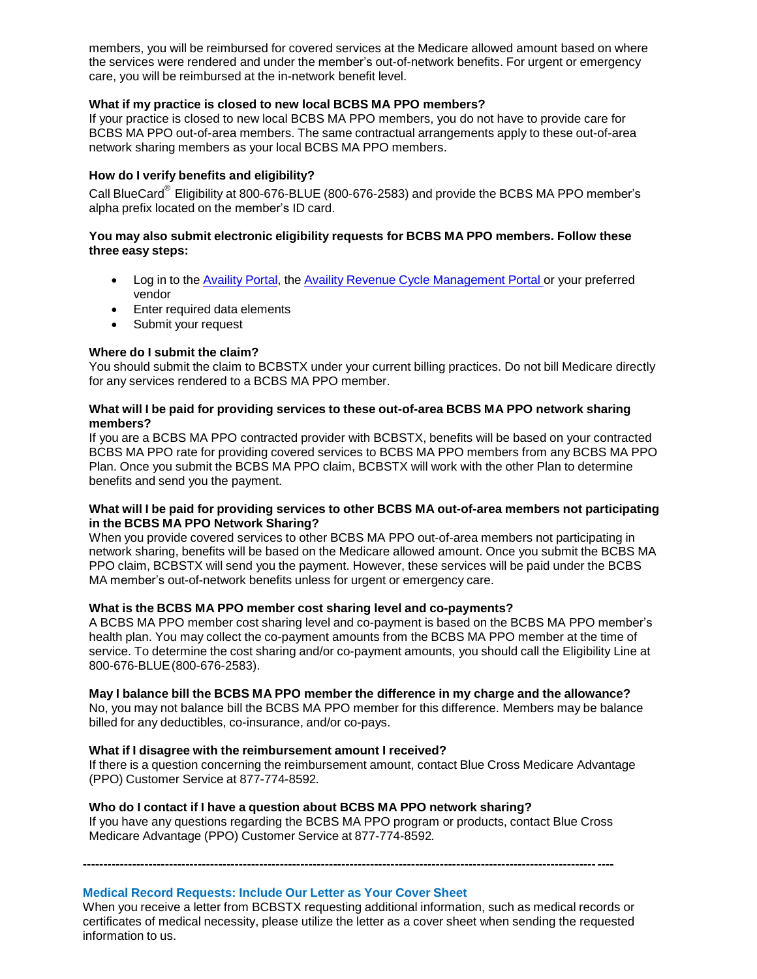members, you will be reimbursed for covered services at the Medicare allowed amount based on where the services were rendered and under the member's out-of-network benefits. For urgent or emergency care, you will be reimbursed at the in-network benefit level.

### **What if my practice is closed to new local BCBS MA PPO members?**

If your practice is closed to new local BCBS MA PPO members, you do not have to provide care for BCBS MA PPO out-of-area members. The same contractual arrangements apply to these out-of-area network sharing members as your local BCBS MA PPO members.

### **How do I verify benefits and eligibility?**

Call BlueCard<sup>®</sup> Eligibility at 800-676-BLUE (800-676-2583) and provide the BCBS MA PPO member's alpha prefix located on the member's ID card.

### **You may also submit electronic eligibility requests for BCBS MA PPO members. Follow these three easy steps:**

- Log in to the [Availity](https://www.availity.com/) Portal, the Availity Revenue Cycle [Management](https://claims.realmed.com/MainFrameset.htm) Portal or your preferred vendor
- Enter required data elements
- Submit your request

### **Where do I submit the claim?**

You should submit the claim to BCBSTX under your current billing practices. Do not bill Medicare directly for any services rendered to a BCBS MA PPO member.

### **What will I be paid for providing services to these out-of-area BCBS MA PPO network sharing members?**

If you are a BCBS MA PPO contracted provider with BCBSTX, benefits will be based on your contracted BCBS MA PPO rate for providing covered services to BCBS MA PPO members from any BCBS MA PPO Plan. Once you submit the BCBS MA PPO claim, BCBSTX will work with the other Plan to determine benefits and send you the payment.

#### **What will I be paid for providing services to other BCBS MA out-of-area members not participating in the BCBS MA PPO Network Sharing?**

When you provide covered services to other BCBS MA PPO out-of-area members not participating in network sharing, benefits will be based on the Medicare allowed amount. Once you submit the BCBS MA PPO claim, BCBSTX will send you the payment. However, these services will be paid under the BCBS MA member's out-of-network benefits unless for urgent or emergency care.

### **What is the BCBS MA PPO member cost sharing level and co-payments?**

A BCBS MA PPO member cost sharing level and co-payment is based on the BCBS MA PPO member's health plan. You may collect the co-payment amounts from the BCBS MA PPO member at the time of service. To determine the cost sharing and/or co-payment amounts, you should call the Eligibility Line at 800-676-BLUE(800-676-2583).

### **May I balance bill the BCBS MA PPO member the difference in my charge and the allowance?**

No, you may not balance bill the BCBS MA PPO member for this difference. Members may be balance billed for any deductibles, co-insurance, and/or co-pays.

### **What if I disagree with the reimbursement amount I received?**

If there is a question concerning the reimbursement amount, contact Blue Cross Medicare Advantage (PPO) Customer Service at 877-774-8592*.*

### **Who do I contact if I have a question about BCBS MA PPO network sharing?**

If you have any questions regarding the BCBS MA PPO program or products, contact Blue Cross Medicare Advantage (PPO) Customer Service at 877-774-8592*.*

**---------------------------------------------------------------------------------------------------------------------------------**

### **Medical Record Requests: Include Our Letter as Your Cover Sheet**

When you receive a letter from BCBSTX requesting additional information, such as medical records or certificates of medical necessity, please utilize the letter as a cover sheet when sending the requested information to us.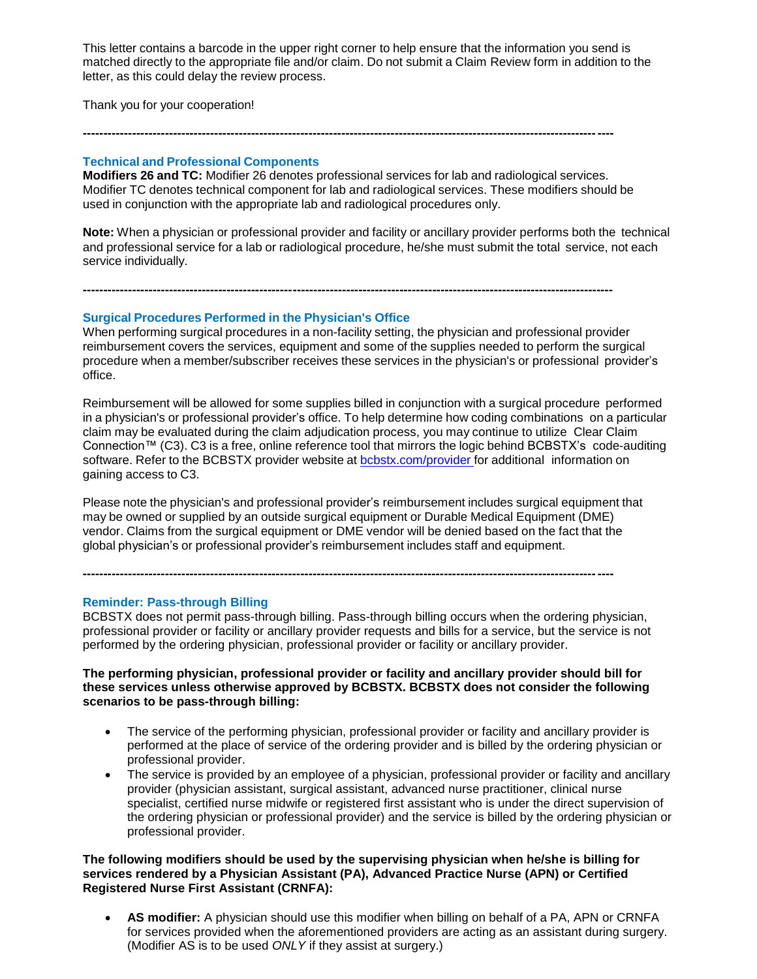This letter contains a barcode in the upper right corner to help ensure that the information you send is matched directly to the appropriate file and/or claim. Do not submit a Claim Review form in addition to the letter, as this could delay the review process.

Thank you for your cooperation!

#### **Technical and Professional Components**

**Modifiers 26 and TC:** Modifier 26 denotes professional services for lab and radiological services. Modifier TC denotes technical component for lab and radiological services. These modifiers should be used in conjunction with the appropriate lab and radiological procedures only.

**---------------------------------------------------------------------------------------------------------------------------------**

**---------------------------------------------------------------------------------------------------------------------------------**

**Note:** When a physician or professional provider and facility or ancillary provider performs both the technical and professional service for a lab or radiological procedure, he/she must submit the total service, not each service individually.

### **Surgical Procedures Performed in the Physician's Office**

When performing surgical procedures in a non-facility setting, the physician and professional provider reimbursement covers the services, equipment and some of the supplies needed to perform the surgical procedure when a member/subscriber receives these services in the physician's or professional provider's office.

Reimbursement will be allowed for some supplies billed in conjunction with a surgical procedure performed in a physician's or professional provider's office. To help determine how coding combinations on a particular claim may be evaluated during the claim adjudication process, you may continue to utilize Clear Claim Connection™ (C3). C3 is a free, online reference tool that mirrors the logic behind BCBSTX's code-auditing software. Refer to the BCBSTX provider website at [bcbstx.com/provider](https://www.bcbstx.com/provider/tools/clear_claim_connection.html) for additional information on gaining access to C3.

Please note the physician's and professional provider's reimbursement includes surgical equipment that may be owned or supplied by an outside surgical equipment or Durable Medical Equipment (DME) vendor. Claims from the surgical equipment or DME vendor will be denied based on the fact that the global physician's or professional provider's reimbursement includes staff and equipment.

**---------------------------------------------------------------------------------------------------------------------------------**

**Reminder: Pass-through Billing**

BCBSTX does not permit pass-through billing. Pass-through billing occurs when the ordering physician, professional provider or facility or ancillary provider requests and bills for a service, but the service is not performed by the ordering physician, professional provider or facility or ancillary provider.

### **The performing physician, professional provider or facility and ancillary provider should bill for these services unless otherwise approved by BCBSTX. BCBSTX does not consider the following scenarios to be pass-through billing:**

- The service of the performing physician, professional provider or facility and ancillary provider is performed at the place of service of the ordering provider and is billed by the ordering physician or professional provider.
- The service is provided by an employee of a physician, professional provider or facility and ancillary provider (physician assistant, surgical assistant, advanced nurse practitioner, clinical nurse specialist, certified nurse midwife or registered first assistant who is under the direct supervision of the ordering physician or professional provider) and the service is billed by the ordering physician or professional provider.

### **The following modifiers should be used by the supervising physician when he/she is billing for services rendered by a Physician Assistant (PA), Advanced Practice Nurse (APN) or Certified Registered Nurse First Assistant (CRNFA):**

 **AS modifier:** A physician should use this modifier when billing on behalf of a PA, APN or CRNFA for services provided when the aforementioned providers are acting as an assistant during surgery. (Modifier AS is to be used *ONLY* if they assist at surgery.)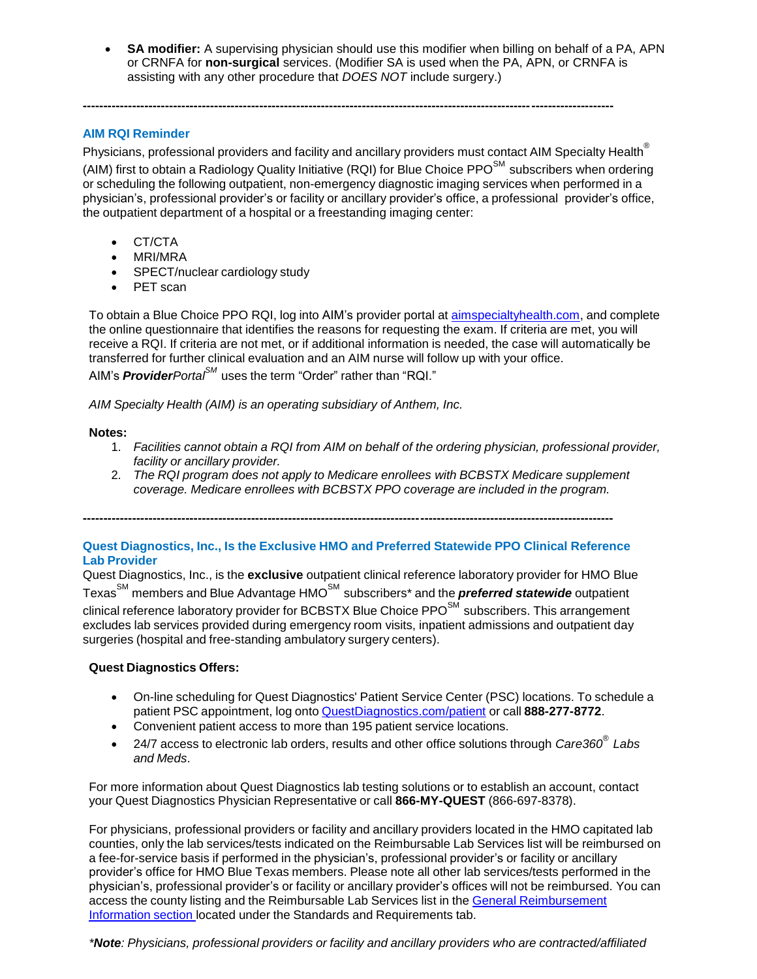**SA modifier:** A supervising physician should use this modifier when billing on behalf of a PA, APN or CRNFA for **non-surgical** services. (Modifier SA is used when the PA, APN, or CRNFA is assisting with any other procedure that *DOES NOT* include surgery.)

### **AIM RQI Reminder**

Physicians, professional providers and facility and ancillary providers must contact AIM Specialty Health<sup>®</sup> (AIM) first to obtain a Radiology Quality Initiative (RQI) for Blue Choice PPO<sup>SM</sup> subscribers when ordering or scheduling the following outpatient, non-emergency diagnostic imaging services when performed in a physician's, professional provider's or facility or ancillary provider's office, a professional provider's office, the outpatient department of a hospital or a freestanding imaging center:

**---------------------------------------------------------------------------------------------------------------------------------**

- CT/CTA
- MRI/MRA
- SPECT/nuclear cardiology study
- PET scan

To obtain a Blue Choice PPO RQI, log into AIM's provider portal at [aimspecialtyhealth.com,](http://www.aimspecialtyhealth.com/) and complete the online questionnaire that identifies the reasons for requesting the exam. If criteria are met, you will receive a RQI. If criteria are not met, or if additional information is needed, the case will automatically be transferred for further clinical evaluation and an AIM nurse will follow up with your office.

AIM's *ProviderPortalSM* uses the term "Order" rather than "RQI."

*AIM Specialty Health (AIM) is an operating subsidiary of Anthem, Inc.*

### **Notes:**

- 1. *Facilities cannot obtain a RQI from AIM on behalf of the ordering physician, professional provider, facility or ancillary provider.*
- 2. *The RQI program does not apply to Medicare enrollees with BCBSTX Medicare supplement coverage. Medicare enrollees with BCBSTX PPO coverage are included in the program.*

**---------------------------------------------------------------------------------------------------------------------------------**

### **Quest Diagnostics, Inc., Is the Exclusive HMO and Preferred Statewide PPO Clinical Reference Lab Provider**

Quest Diagnostics, Inc., is the **exclusive** outpatient clinical reference laboratory provider for HMO Blue Texas<sup>SM</sup> members and Blue Advantage HMO<sup>SM</sup> subscribers<sup>\*</sup> and the **preferred statewide** outpatient clinical reference laboratory provider for BCBSTX Blue Choice PPO<sup>SM</sup> subscribers. This arrangement excludes lab services provided during emergency room visits, inpatient admissions and outpatient day surgeries (hospital and free-standing ambulatory surgery centers).

### **Quest Diagnostics Offers:**

- On-line scheduling for Quest Diagnostics' Patient Service Center (PSC) locations. To schedule a patient PSC appointment, log onto [QuestDiagnostics.com/patient](https://www.questdiagnostics.com/home/patients) or call **888-277-8772**.
- Convenient patient access to more than 195 patient service locations.
- 24/7 access to electronic lab orders, results and other office solutions through *Care360® Labs and Meds*.

For more information about Quest Diagnostics lab testing solutions or to establish an account, contact your Quest Diagnostics Physician Representative or call **866-MY-QUEST** (866-697-8378).

For physicians, professional providers or facility and ancillary providers located in the HMO capitated lab counties, only the lab services/tests indicated on the Reimbursable Lab Services list will be reimbursed on a fee-for-service basis if performed in the physician's, professional provider's or facility or ancillary provider's office for HMO Blue Texas members. Please note all other lab services/tests performed in the physician's, professional provider's or facility or ancillary provider's offices will not be reimbursed. You can access the county listing and the Reimbursable Lab Services list in the General [Reimbursement](https://www.bcbstx.com/provider/gri/index.html) Information section located under the Standards and Requirements tab.

*\*Note: Physicians, professional providers or facility and ancillary providers who are contracted/affiliated*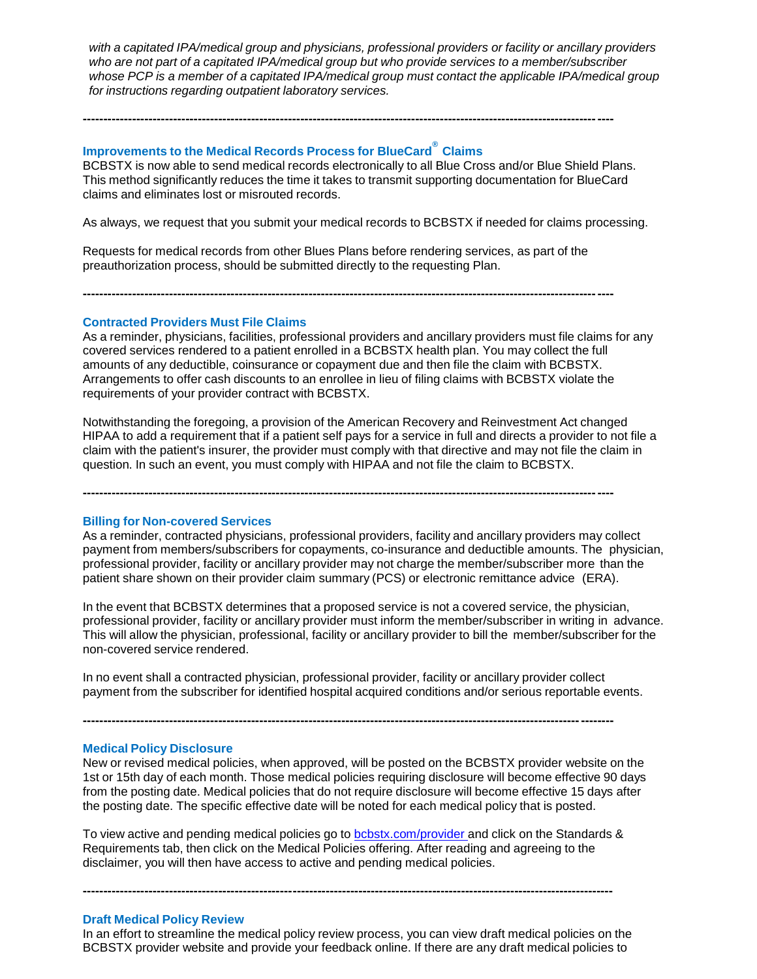*with a capitated IPA/medical group and physicians, professional providers or facility or ancillary providers who are not part of a capitated IPA/medical group but who provide services to a member/subscriber whose PCP is a member of a capitated IPA/medical group must contact the applicable IPA/medical group for instructions regarding outpatient laboratory services.*

### **Improvements to the Medical Records Process for BlueCard® Claims**

BCBSTX is now able to send medical records electronically to all Blue Cross and/or Blue Shield Plans. This method significantly reduces the time it takes to transmit supporting documentation for BlueCard claims and eliminates lost or misrouted records.

**---------------------------------------------------------------------------------------------------------------------------------**

As always, we request that you submit your medical records to BCBSTX if needed for claims processing.

Requests for medical records from other Blues Plans before rendering services, as part of the preauthorization process, should be submitted directly to the requesting Plan.

**---------------------------------------------------------------------------------------------------------------------------------**

**Contracted Providers Must File Claims**

As a reminder, physicians, facilities, professional providers and ancillary providers must file claims for any covered services rendered to a patient enrolled in a BCBSTX health plan. You may collect the full amounts of any deductible, coinsurance or copayment due and then file the claim with BCBSTX. Arrangements to offer cash discounts to an enrollee in lieu of filing claims with BCBSTX violate the requirements of your provider contract with BCBSTX.

Notwithstanding the foregoing, a provision of the American Recovery and Reinvestment Act changed HIPAA to add a requirement that if a patient self pays for a service in full and directs a provider to not file a claim with the patient's insurer, the provider must comply with that directive and may not file the claim in question. In such an event, you must comply with HIPAA and not file the claim to BCBSTX.

**---------------------------------------------------------------------------------------------------------------------------------**

#### **Billing for Non-covered Services**

As a reminder, contracted physicians, professional providers, facility and ancillary providers may collect payment from members/subscribers for copayments, co-insurance and deductible amounts. The physician, professional provider, facility or ancillary provider may not charge the member/subscriber more than the patient share shown on their provider claim summary (PCS) or electronic remittance advice (ERA).

In the event that BCBSTX determines that a proposed service is not a covered service, the physician, professional provider, facility or ancillary provider must inform the member/subscriber in writing in advance. This will allow the physician, professional, facility or ancillary provider to bill the member/subscriber for the non-covered service rendered.

In no event shall a contracted physician, professional provider, facility or ancillary provider collect payment from the subscriber for identified hospital acquired conditions and/or serious reportable events.

**---------------------------------------------------------------------------------------------------------------------------------**

#### **Medical Policy Disclosure**

New or revised medical policies, when approved, will be posted on the BCBSTX provider website on the 1st or 15th day of each month. Those medical policies requiring disclosure will become effective 90 days from the posting date. Medical policies that do not require disclosure will become effective 15 days after the posting date. The specific effective date will be noted for each medical policy that is posted.

To view active and pending medical policies go to [bcbstx.com/provider](https://www.bcbstx.com/provider/) and click on the Standards & Requirements tab, then click on the Medical Policies offering. After reading and agreeing to the disclaimer, you will then have access to active and pending medical policies.

**---------------------------------------------------------------------------------------------------------------------------------**

#### **Draft Medical Policy Review**

In an effort to streamline the medical policy review process, you can view draft medical policies on the BCBSTX provider website and provide your feedback online. If there are any draft medical policies to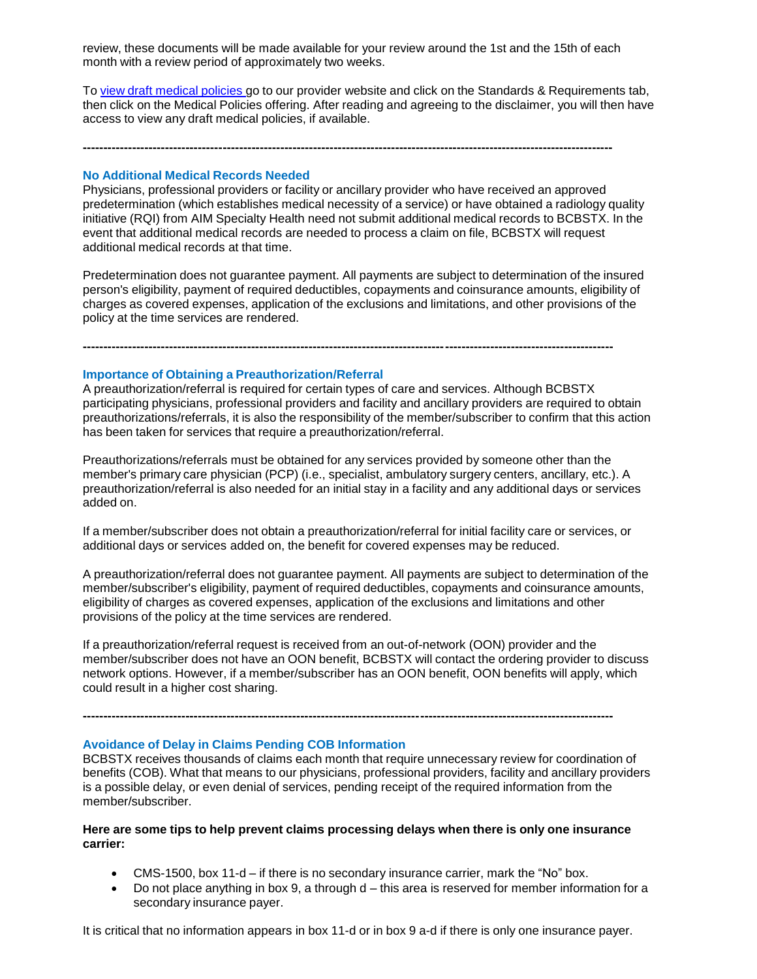review, these documents will be made available for your review around the 1st and the 15th of each month with a review period of approximately two weeks.

**---------------------------------------------------------------------------------------------------------------------------------**

To view draft [medical](http://www.medicalpolicy.hcsc.net/medicalpolicy/disclaimer?corpEntCd=TX1) policies go to our provider website and click on the Standards & Requirements tab, then click on the Medical Policies offering. After reading and agreeing to the disclaimer, you will then have access to view any draft medical policies, if available.

### **No Additional Medical Records Needed**

Physicians, professional providers or facility or ancillary provider who have received an approved predetermination (which establishes medical necessity of a service) or have obtained a radiology quality initiative (RQI) from AIM Specialty Health need not submit additional medical records to BCBSTX. In the event that additional medical records are needed to process a claim on file, BCBSTX will request additional medical records at that time.

Predetermination does not guarantee payment. All payments are subject to determination of the insured person's eligibility, payment of required deductibles, copayments and coinsurance amounts, eligibility of charges as covered expenses, application of the exclusions and limitations, and other provisions of the policy at the time services are rendered.

**---------------------------------------------------------------------------------------------------------------------------------**

#### **Importance of Obtaining a Preauthorization/Referral**

A preauthorization/referral is required for certain types of care and services. Although BCBSTX participating physicians, professional providers and facility and ancillary providers are required to obtain preauthorizations/referrals, it is also the responsibility of the member/subscriber to confirm that this action has been taken for services that require a preauthorization/referral.

Preauthorizations/referrals must be obtained for any services provided by someone other than the member's primary care physician (PCP) (i.e., specialist, ambulatory surgery centers, ancillary, etc.). A preauthorization/referral is also needed for an initial stay in a facility and any additional days or services added on.

If a member/subscriber does not obtain a preauthorization/referral for initial facility care or services, or additional days or services added on, the benefit for covered expenses may be reduced.

A preauthorization/referral does not guarantee payment. All payments are subject to determination of the member/subscriber's eligibility, payment of required deductibles, copayments and coinsurance amounts, eligibility of charges as covered expenses, application of the exclusions and limitations and other provisions of the policy at the time services are rendered.

If a preauthorization/referral request is received from an out-of-network (OON) provider and the member/subscriber does not have an OON benefit, BCBSTX will contact the ordering provider to discuss network options. However, if a member/subscriber has an OON benefit, OON benefits will apply, which could result in a higher cost sharing.

**---------------------------------------------------------------------------------------------------------------------------------**

#### **Avoidance of Delay in Claims Pending COB Information**

BCBSTX receives thousands of claims each month that require unnecessary review for coordination of benefits (COB). What that means to our physicians, professional providers, facility and ancillary providers is a possible delay, or even denial of services, pending receipt of the required information from the member/subscriber.

### **Here are some tips to help prevent claims processing delays when there is only one insurance carrier:**

- CMS-1500, box 11-d if there is no secondary insurance carrier, mark the "No" box.
- $\bullet$  Do not place anything in box 9, a through  $d$  this area is reserved for member information for a secondary insurance payer.

It is critical that no information appears in box 11-d or in box 9 a-d if there is only one insurance payer.